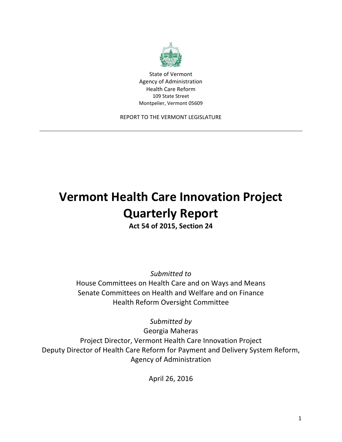

State of Vermont Agency of Administration Health Care Reform 109 State Street Montpelier, Vermont 05609

REPORT TO THE VERMONT LEGISLATURE

# **Vermont Health Care Innovation Project Quarterly Report**

**Act 54 of 2015, Section 24**

*Submitted to*

House Committees on Health Care and on Ways and Means Senate Committees on Health and Welfare and on Finance Health Reform Oversight Committee

*Submitted by*

Georgia Maheras Project Director, Vermont Health Care Innovation Project Deputy Director of Health Care Reform for Payment and Delivery System Reform, Agency of Administration

April 26, 2016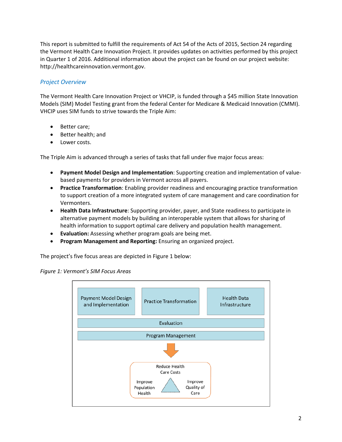This report is submitted to fulfill the requirements of Act 54 of the Acts of 2015, Section 24 regarding the Vermont Health Care Innovation Project. It provides updates on activities performed by this project in Quarter 1 of 2016. Additional information about the project can be found on our project website: http://healthcareinnovation.vermont.gov.

# *Project Overview*

The Vermont Health Care Innovation Project or VHCIP, is funded through a \$45 million State Innovation Models (SIM) Model Testing grant from the federal Center for Medicare & Medicaid Innovation (CMMI). VHCIP uses SIM funds to strive towards the Triple Aim:

- Better care;
- Better health; and
- Lower costs.

The Triple Aim is advanced through a series of tasks that fall under five major focus areas:

- **Payment Model Design and Implementation**: Supporting creation and implementation of value‐ based payments for providers in Vermont across all payers.
- **Practice Transformation**: Enabling provider readiness and encouraging practice transformation to support creation of a more integrated system of care management and care coordination for Vermonters.
- **Health Data Infrastructure**: Supporting provider, payer, and State readiness to participate in alternative payment models by building an interoperable system that allows for sharing of health information to support optimal care delivery and population health management.
- **Evaluation:** Assessing whether program goals are being met.
- **Program Management and Reporting:** Ensuring an organized project.

The project's five focus areas are depicted in Figure 1 below:



*Figure 1: Vermont's SIM Focus Areas*

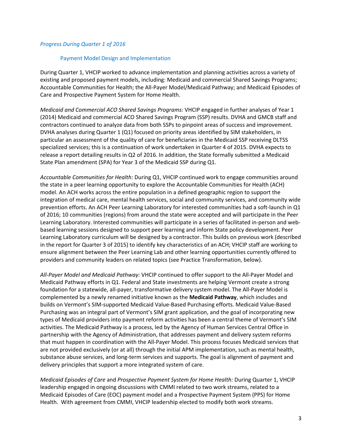#### *Progress During Quarter 1 of 2016*

#### Payment Model Design and Implementation

During Quarter 1, VHCIP worked to advance implementation and planning activities across a variety of existing and proposed payment models, including: Medicaid and commercial Shared Savings Programs; Accountable Communities for Health; the All‐Payer Model/Medicaid Pathway; and Medicaid Episodes of Care and Prospective Payment System for Home Health.

*Medicaid and Commercial ACO Shared Savings Programs:* VHCIP engaged in further analyses of Year 1 (2014) Medicaid and commercial ACO Shared Savings Program (SSP) results. DVHA and GMCB staff and contractors continued to analyze data from both SSPs to pinpoint areas of success and improvement. DVHA analyses during Quarter 1 (Q1) focused on priority areas identified by SIM stakeholders, in particular an assessment of the quality of care for beneficiaries in the Medicaid SSP receiving DLTSS specialized services; this is a continuation of work undertaken in Quarter 4 of 2015. DVHA expects to release a report detailing results in Q2 of 2016. In addition, the State formally submitted a Medicaid State Plan amendment (SPA) for Year 3 of the Medicaid SSP during Q1.

*Accountable Communities for Health:* During Q1, VHCIP continued work to engage communities around the state in a peer learning opportunity to explore the Accountable Communities for Health (ACH) model. An ACH works across the entire population in a defined geographic region to support the integration of medical care, mental health services, social and community services, and community wide prevention efforts. An ACH Peer Learning Laboratory for interested communities had a soft‐launch in Q1 of 2016; 10 communities (regions) from around the state were accepted and will participate in the Peer Learning Laboratory. Interested communities will participate in a series of facilitated in‐person and web‐ based learning sessions designed to support peer learning and inform State policy development. Peer Learning Laboratory curriculum will be designed by a contractor. This builds on previous work (described in the report for Quarter 3 of 2015) to identify key characteristics of an ACH; VHCIP staff are working to ensure alignment between the Peer Learning Lab and other learning opportunities currently offered to providers and community leaders on related topics (see Practice Transformation, below).

*All‐Payer Model and Medicaid Pathway:* VHCIP continued to offer support to the All‐Payer Model and Medicaid Pathway efforts in Q1. Federal and State investments are helping Vermont create a strong foundation for a statewide, all‐payer, transformative delivery system model. The All‐Payer Model is complemented by a newly renamed initiative known as the **Medicaid Pathway**, which includes and builds on Vermont's SIM‐supported Medicaid Value‐Based Purchasing efforts. Medicaid Value‐Based Purchasing was an integral part of Vermont's SIM grant application, and the goal of incorporating new types of Medicaid providers into payment reform activities has been a central theme of Vermont's SIM activities. The Medicaid Pathway is a process, led by the Agency of Human Services Central Office in partnership with the Agency of Administration, that addresses payment and delivery system reforms that must happen in coordination with the All‐Payer Model. This process focuses Medicaid services that are not provided exclusively (or at all) through the initial APM implementation, such as mental health, substance abuse services, and long-term services and supports. The goal is alignment of payment and delivery principles that support a more integrated system of care.

*Medicaid Episodes of Care* and *Prospective Payment System for Home Health:* During Quarter 1, VHCIP leadership engaged in ongoing discussions with CMMI related to two work streams, related to a Medicaid Episodes of Care (EOC) payment model and a Prospective Payment System (PPS) for Home Health. With agreement from CMMI, VHCIP leadership elected to modify both work streams.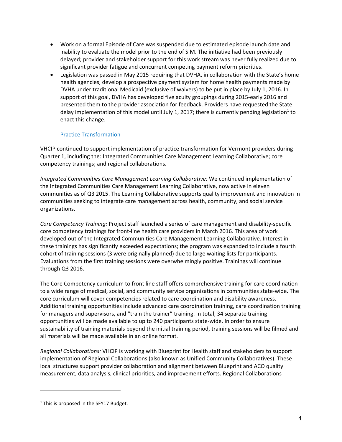- Work on a formal Episode of Care was suspended due to estimated episode launch date and inability to evaluate the model prior to the end of SIM. The initiative had been previously delayed; provider and stakeholder support for this work stream was never fully realized due to significant provider fatigue and concurrent competing payment reform priorities.
- Legislation was passed in May 2015 requiring that DVHA, in collaboration with the State's home health agencies, develop a prospective payment system for home health payments made by DVHA under traditional Medicaid (exclusive of waivers) to be put in place by July 1, 2016. In support of this goal, DVHA has developed five acuity groupings during 2015‐early 2016 and presented them to the provider association for feedback. Providers have requested the State delay implementation of this model until July 1, 2017; there is currently pending legislation<sup>1</sup> to enact this change.

# Practice Transformation

VHCIP continued to support implementation of practice transformation for Vermont providers during Quarter 1, including the: Integrated Communities Care Management Learning Collaborative; core competency trainings; and regional collaborations.

*Integrated Communities Care Management Learning Collaborative:* We continued implementation of the Integrated Communities Care Management Learning Collaborative, now active in eleven communities as of Q3 2015. The Learning Collaborative supports quality improvement and innovation in communities seeking to integrate care management across health, community, and social service organizations.

*Core Competency Training:* Project staff launched a series of care management and disability‐specific core competency trainings for front‐line health care providers in March 2016. This area of work developed out of the Integrated Communities Care Management Learning Collaborative. Interest in these trainings has significantly exceeded expectations; the program was expanded to include a fourth cohort of training sessions (3 were originally planned) due to large waiting lists for participants. Evaluations from the first training sessions were overwhelmingly positive. Trainings will continue through Q3 2016.

The Core Competency curriculum to front line staff offers comprehensive training for care coordination to a wide range of medical, social, and community service organizations in communities state-wide. The core curriculum will cover competencies related to care coordination and disability awareness. Additional training opportunities include advanced care coordination training, care coordination training for managers and supervisors, and "train the trainer" training. In total, 34 separate training opportunities will be made available to up to 240 participants state‐wide. In order to ensure sustainability of training materials beyond the initial training period, training sessions will be filmed and all materials will be made available in an online format.

*Regional Collaborations:* VHCIP is working with Blueprint for Health staff and stakeholders to support implementation of Regional Collaborations (also known as Unified Community Collaboratives). These local structures support provider collaboration and alignment between Blueprint and ACO quality measurement, data analysis, clinical priorities, and improvement efforts. Regional Collaborations

1

<sup>&</sup>lt;sup>1</sup> This is proposed in the SFY17 Budget.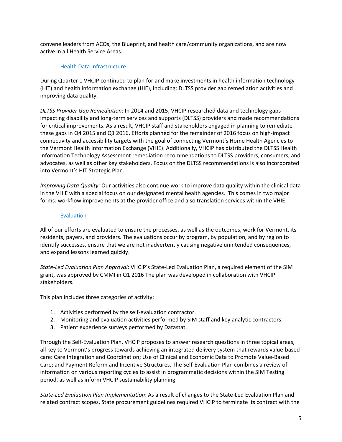convene leaders from ACOs, the Blueprint, and health care/community organizations, and are now active in all Health Service Areas.

# Health Data Infrastructure

During Quarter 1 VHCIP continued to plan for and make investments in health information technology (HIT) and health information exchange (HIE), including: DLTSS provider gap remediation activities and improving data quality.

*DLTSS Provider Gap Remediation:* In 2014 and 2015, VHCIP researched data and technology gaps impacting disability and long‐term services and supports (DLTSS) providers and made recommendations for critical improvements. As a result, VHCIP staff and stakeholders engaged in planning to remediate these gaps in Q4 2015 and Q1 2016. Efforts planned for the remainder of 2016 focus on high‐impact connectivity and accessibility targets with the goal of connecting Vermont's Home Health Agencies to the Vermont Health Information Exchange (VHIE). Additionally, VHCIP has distributed the DLTSS Health Information Technology Assessment remediation recommendations to DLTSS providers, consumers, and advocates, as well as other key stakeholders. Focus on the DLTSS recommendations is also incorporated into Vermont's HIT Strategic Plan.

*Improving Data Quality:* Our activities also continue work to improve data quality within the clinical data in the VHIE with a special focus on our designated mental health agencies. This comes in two major forms: workflow improvements at the provider office and also translation services within the VHIE.

# Evaluation

All of our efforts are evaluated to ensure the processes, as well as the outcomes, work for Vermont, its residents, payers, and providers. The evaluations occur by program, by population, and by region to identify successes, ensure that we are not inadvertently causing negative unintended consequences, and expand lessons learned quickly.

*State‐Led Evaluation Plan Approval*: VHCIP's State‐Led Evaluation Plan, a required element of the SIM grant, was approved by CMMI in Q1 2016 The plan was developed in collaboration with VHCIP stakeholders.

This plan includes three categories of activity:

- 1. Activities performed by the self‐evaluation contractor.
- 2. Monitoring and evaluation activities performed by SIM staff and key analytic contractors.
- 3. Patient experience surveys performed by Datastat.

Through the Self‐Evaluation Plan, VHCIP proposes to answer research questions in three topical areas, all key to Vermont's progress towards achieving an integrated delivery system that rewards value‐based care: Care Integration and Coordination; Use of Clinical and Economic Data to Promote Value‐Based Care; and Payment Reform and Incentive Structures. The Self‐Evaluation Plan combines a review of information on various reporting cycles to assist in programmatic decisions within the SIM Testing period, as well as inform VHCIP sustainability planning.

*State‐Led Evaluation Plan Implementation*: As a result of changes to the State‐Led Evaluation Plan and related contract scopes, State procurement guidelines required VHCIP to terminate its contract with the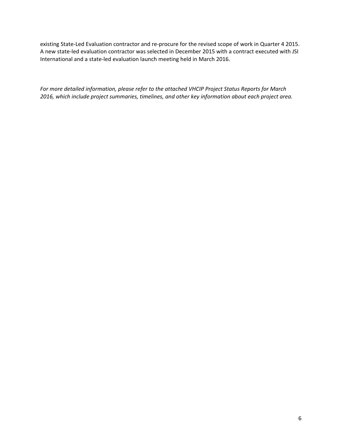existing State‐Led Evaluation contractor and re‐procure for the revised scope of work in Quarter 4 2015. A new state‐led evaluation contractor was selected in December 2015 with a contract executed with JSI International and a state‐led evaluation launch meeting held in March 2016.

*For more detailed information, please refer to the attached VHCIP Project Status Reports for March 2016, which include project summaries, timelines, and other key information about each project area.*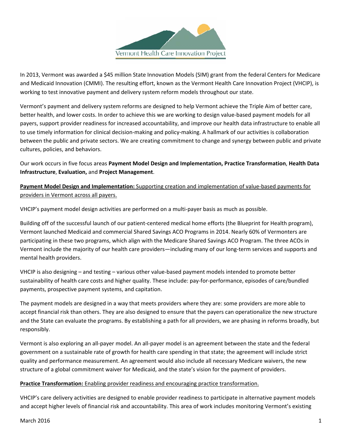

In 2013, Vermont was awarded a \$45 million State Innovation Models (SIM) grant from the federal Centers for Medicare and Medicaid Innovation (CMMI). The resulting effort, known as the Vermont Health Care Innovation Project (VHCIP), is working to test innovative payment and delivery system reform models throughout our state.

Vermont's payment and delivery system reforms are designed to help Vermont achieve the Triple Aim of better care, better health, and lower costs. In order to achieve this we are working to design value‐based payment models for all payers, support provider readiness for increased accountability, and improve our health data infrastructure to enable all to use timely information for clinical decision-making and policy-making. A hallmark of our activities is collaboration between the public and private sectors. We are creating commitment to change and synergy between public and private cultures, policies, and behaviors.

Our work occurs in five focus areas **Payment Model Design and Implementation, Practice Transformation**, **Health Data Infrastructure**, **Evaluation,** and **Project Management**.

**Payment Model Design and Implementation:** Supporting creation and implementation of value‐based payments for providers in Vermont across all payers.

VHCIP's payment model design activities are performed on a multi‐payer basis as much as possible.

Building off of the successful launch of our patient‐centered medical home efforts (the Blueprint for Health program), Vermont launched Medicaid and commercial Shared Savings ACO Programs in 2014. Nearly 60% of Vermonters are participating in these two programs, which align with the Medicare Shared Savings ACO Program. The three ACOs in Vermont include the majority of our health care providers—including many of our long‐term services and supports and mental health providers.

VHCIP is also designing – and testing – various other value‐based payment models intended to promote better sustainability of health care costs and higher quality. These include: pay-for-performance, episodes of care/bundled payments, prospective payment systems, and capitation.

The payment models are designed in a way that meets providers where they are: some providers are more able to accept financial risk than others. They are also designed to ensure that the payers can operationalize the new structure and the State can evaluate the programs. By establishing a path for all providers, we are phasing in reforms broadly, but responsibly.

Vermont is also exploring an all‐payer model. An all‐payer model is an agreement between the state and the federal government on a sustainable rate of growth for health care spending in that state; the agreement will include strict quality and performance measurement. An agreement would also include all necessary Medicare waivers, the new structure of a global commitment waiver for Medicaid, and the state's vision for the payment of providers.

# **Practice Transformation:** Enabling provider readiness and encouraging practice transformation.

VHCIP's care delivery activities are designed to enable provider readiness to participate in alternative payment models and accept higher levels of financial risk and accountability. This area of work includes monitoring Vermont's existing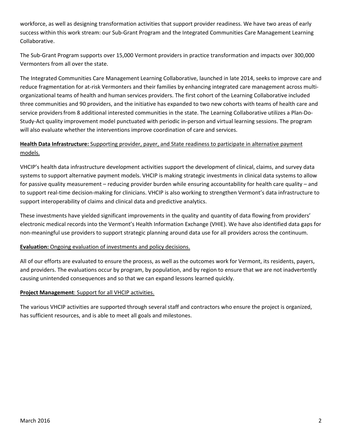workforce, as well as designing transformation activities that support provider readiness. We have two areas of early success within this work stream: our Sub‐Grant Program and the Integrated Communities Care Management Learning Collaborative.

The Sub‐Grant Program supports over 15,000 Vermont providers in practice transformation and impacts over 300,000 Vermonters from all over the state.

The Integrated Communities Care Management Learning Collaborative, launched in late 2014, seeks to improve care and reduce fragmentation for at-risk Vermonters and their families by enhancing integrated care management across multiorganizational teams of health and human services providers. The first cohort of the Learning Collaborative included three communities and 90 providers, and the initiative has expanded to two new cohorts with teams of health care and service providers from 8 additional interested communities in the state. The Learning Collaborative utilizes a Plan-Do-Study‐Act quality improvement model punctuated with periodic in‐person and virtual learning sessions. The program will also evaluate whether the interventions improve coordination of care and services.

# **Health Data Infrastructure:** Supporting provider, payer, and State readiness to participate in alternative payment models.

VHCIP's health data infrastructure development activities support the development of clinical, claims, and survey data systems to support alternative payment models. VHCIP is making strategic investments in clinical data systems to allow for passive quality measurement – reducing provider burden while ensuring accountability for health care quality – and to support real‐time decision‐making for clinicians. VHCIP is also working to strengthen Vermont's data infrastructure to support interoperability of claims and clinical data and predictive analytics.

These investments have yielded significant improvements in the quality and quantity of data flowing from providers' electronic medical records into the Vermont's Health Information Exchange (VHIE). We have also identified data gaps for non‐meaningful use providers to support strategic planning around data use for all providers across the continuum.

# **Evaluation:** Ongoing evaluation of investments and policy decisions.

All of our efforts are evaluated to ensure the process, as well as the outcomes work for Vermont, its residents, payers, and providers. The evaluations occur by program, by population, and by region to ensure that we are not inadvertently causing unintended consequences and so that we can expand lessons learned quickly.

# **Project Management**: Support for all VHCIP activities.

The various VHCIP activities are supported through several staff and contractors who ensure the project is organized, has sufficient resources, and is able to meet all goals and milestones.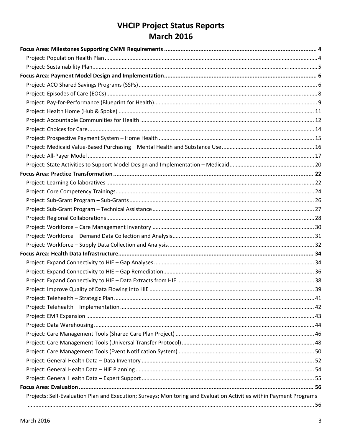# **VHCIP Project Status Reports March 2016**

| Projects: Self-Evaluation Plan and Execution; Surveys; Monitoring and Evaluation Activities within Payment Programs |  |
|---------------------------------------------------------------------------------------------------------------------|--|
|                                                                                                                     |  |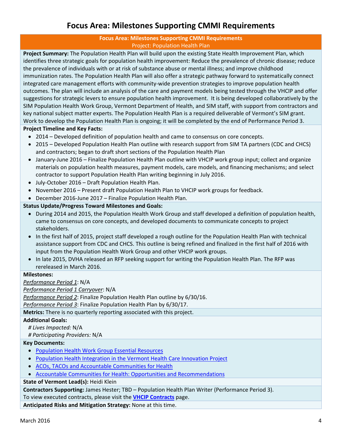# **Focus Area: Milestones Supporting CMMI Requirements**

# **Focus Area: Milestones Supporting CMMI Requirements** Project: Population Health Plan

**Project Summary:** The Population Health Plan will build upon the existing State Health Improvement Plan, which identifies three strategic goals for population health improvement: Reduce the prevalence of chronic disease; reduce the prevalence of individuals with or at risk of substance abuse or mental illness; and improve childhood immunization rates. The Population Health Plan will also offer a strategic pathway forward to systematically connect integrated care management efforts with community-wide prevention strategies to improve population health outcomes. The plan will include an analysis of the care and payment models being tested through the VHCIP and offer suggestions for strategic levers to ensure population health improvement. It is being developed collaboratively by the SIM Population Health Work Group, Vermont Department of Health, and SIM staff, with support from contractors and key national subject matter experts. The Population Health Plan is a required deliverable of Vermont's SIM grant. Work to develop the Population Health Plan is ongoing; it will be completed by the end of Performance Period 3.

# **Project Timeline and Key Facts:**

- 2014 Developed definition of population health and came to consensus on core concepts.
- 2015 Developed Population Health Plan outline with research support from SIM TA partners (CDC and CHCS) and contractors; began to draft short sections of the Population Health Plan
- January-June 2016 Finalize Population Health Plan outline with VHCIP work group input; collect and organize materials on population health measures, payment models, care models, and financing mechanisms; and select contractor to support Population Health Plan writing beginning in July 2016.
- July-October 2016 Draft Population Health Plan.
- November 2016 Present draft Population Health Plan to VHCIP work groups for feedback.
- December 2016‐June 2017 Finalize Population Health Plan.

# **Status Update/Progress Toward Milestones and Goals:**

- During 2014 and 2015, the Population Health Work Group and staff developed a definition of population health, came to consensus on core concepts, and developed documents to communicate concepts to project stakeholders.
- In the first half of 2015, project staff developed a rough outline for the Population Health Plan with technical assistance support from CDC and CHCS. This outline is being refined and finalized in the first half of 2016 with input from the Population Health Work Group and other VHCIP work groups.
- In late 2015, DVHA released an RFP seeking support for writing the Population Health Plan. The RFP was rereleased in March 2016.

# **Milestones:**

*Performance Period 1*: N/A

# *Performance Period 1 Carryover*: N/A

*Performance Period 2*: Finalize Population Health Plan outline by 6/30/16.

*Performance Period 3*: Finalize Population Health Plan by 6/30/17.

# **Metrics:** There is no quarterly reporting associated with this project.

# **Additional Goals:**

*# Lives Impacted:* N/A

*# Participating Providers:* N/A

# **Key Documents:**

- Population Health Work Group Essential Resources
- Population Health Integration in the Vermont Health Care Innovation Project
- ACOs, TACOs and Accountable Communities for Health
- Accountable Communities for Health: Opportunities and Recommendations

# **State of Vermont Lead(s):** Heidi Klein

**Contractors Supporting:** James Hester; TBD – Population Health Plan Writer (Performance Period 3).

To view executed contracts, please visit the **VHCIP Contracts** page.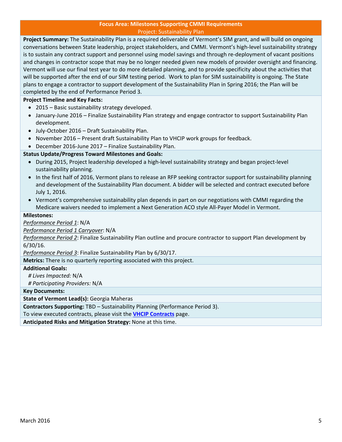#### **Focus Area: Milestones Supporting CMMI Requirements** Project: Sustainability Plan

**Project Summary:** The Sustainability Plan is a required deliverable of Vermont's SIM grant, and will build on ongoing conversations between State leadership, project stakeholders, and CMMI. Vermont's high‐level sustainability strategy is to sustain any contract support and personnel using model savings and through re‐deployment of vacant positions and changes in contractor scope that may be no longer needed given new models of provider oversight and financing. Vermont will use our final test year to do more detailed planning, and to provide specificity about the activities that will be supported after the end of our SIM testing period. Work to plan for SIM sustainability is ongoing. The State plans to engage a contractor to support development of the Sustainability Plan in Spring 2016; the Plan will be completed by the end of Performance Period 3.

# **Project Timeline and Key Facts:**

- 2015 Basic sustainability strategy developed.
- January-June 2016 Finalize Sustainability Plan strategy and engage contractor to support Sustainability Plan development.
- July-October 2016 Draft Sustainability Plan.
- November 2016 Present draft Sustainability Plan to VHCIP work groups for feedback.
- December 2016-June 2017 Finalize Sustainability Plan.

# **Status Update/Progress Toward Milestones and Goals:**

- During 2015, Project leadership developed a high-level sustainability strategy and began project-level sustainability planning.
- In the first half of 2016, Vermont plans to release an RFP seeking contractor support for sustainability planning and development of the Sustainability Plan document. A bidder will be selected and contract executed before July 1, 2016.
- Vermont's comprehensive sustainability plan depends in part on our negotiations with CMMI regarding the Medicare waivers needed to implement a Next Generation ACO style All‐Payer Model in Vermont.

# **Milestones:**

*Performance Period 1*: N/A

*Performance Period 1 Carryover*: N/A

*Performance Period 2*: Finalize Sustainability Plan outline and procure contractor to support Plan development by 6/30/16.

*Performance Period 3*: Finalize Sustainability Plan by 6/30/17.

**Metrics:** There is no quarterly reporting associated with this project.

#### **Additional Goals:**

*# Lives Impacted:* N/A

*# Participating Providers:* N/A

**Key Documents:**

**State of Vermont Lead(s):** Georgia Maheras

**Contractors Supporting:** TBD – Sustainability Planning (Performance Period 3).

To view executed contracts, please visit the **VHCIP Contracts** page.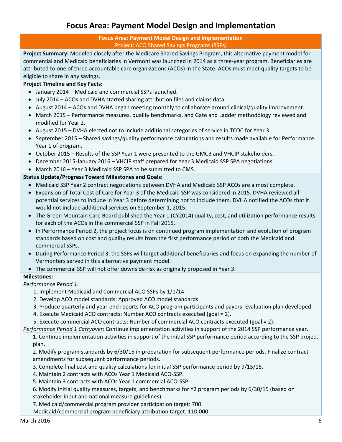# **Focus Area: Payment Model Design and Implementation**

# **Focus Area: Payment Model Design and Implementation** Project: ACO Shared Savings Programs (SSPs)

**Project Summary:** Modeled closely after the Medicare Shared Savings Program, this alternative payment model for commercial and Medicaid beneficiaries in Vermont was launched in 2014 as a three‐year program. Beneficiaries are attributed to one of three accountable care organizations (ACOs) in the State. ACOs must meet quality targets to be eligible to share in any savings.

# **Project Timeline and Key Facts:**

- January 2014 Medicaid and commercial SSPs launched.
- July 2014 ACOs and DVHA started sharing attribution files and claims data.
- August 2014 ACOs and DVHA began meeting monthly to collaborate around clinical/quality improvement.
- March 2015 Performance measures, quality benchmarks, and Gate and Ladder methodology reviewed and modified for Year 2.
- August 2015 DVHA elected not to include additional categories of service in TCOC for Year 3.
- September 2015 Shared savings/quality performance calculations and results made available for Performance Year 1 of program.
- October 2015 Results of the SSP Year 1 were presented to the GMCB and VHCIP stakeholders.
- December 2015-January 2016 VHCIP staff prepared for Year 3 Medicaid SSP SPA negotiations.
- March 2016 Year 3 Medicaid SSP SPA to be submitted to CMS.

# **Status Update/Progress Toward Milestones and Goals:**

- Medicaid SSP Year 2 contract negotiations between DVHA and Medicaid SSP ACOs are almost complete.
- Expansion of Total Cost of Care for Year 3 of the Medicaid SSP was considered in 2015. DVHA reviewed all potential services to include in Year 3 before determining not to include them. DVHA notified the ACOs that it would not include additional services on September 1, 2015.
- The Green Mountain Care Board published the Year 1 (CY2014) quality, cost, and utilization performance results for each of the ACOs in the commercial SSP in Fall 2015.
- In Performance Period 2, the project focus is on continued program implementation and evolution of program standards based on cost and quality results from the first performance period of both the Medicaid and commercial SSPs.
- During Performance Period 3, the SSPs will target additional beneficiaries and focus on expanding the number of Vermonters served in this alternative payment model.
- The commercial SSP will not offer downside risk as originally proposed in Year 3.

# **Milestones:**

# *Performance Period 1:*

- 1. Implement Medicaid and Commercial ACO SSPs by 1/1/14.
- 2. Develop ACO model standards: Approved ACO model standards.
- 3. Produce quarterly and year‐end reports for ACO program participants and payers: Evaluation plan developed.
- 4. Execute Medicaid ACO contracts: Number ACO contracts executed (goal = 2).
- 5. Execute commercial ACO contracts: Number of commercial ACO contracts executed (goal = 2).
- *Performance Period 1 Carryover:* Continue implementation activities in support of the 2014 SSP performance year.
	- 1. Continue implementation activities in support of the initial SSP performance period according to the SSP project plan.

2. Modify program standards by 6/30/15 in preparation for subsequent performance periods. Finalize contract amendments for subsequent performance periods.

- 3. Complete final cost and quality calculations for initial SSP performance period by 9/15/15.
- 4. Maintain 2 contracts with ACOs Year 1 Medicaid ACO‐SSP.
- 5. Maintain 3 contracts with ACOs Year 1 commercial ACO‐SSP.
- 6. Modify initial quality measures, targets, and benchmarks for Y2 program periods by 6/30/15 (based on stakeholder input and national measure guidelines).

7. Medicaid/commercial program provider participation target: 700

Medicaid/commercial program beneficiary attribution target: 110,000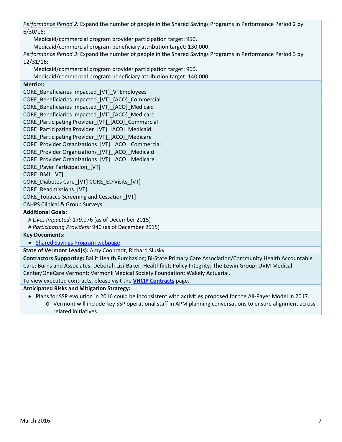*Performance Period 2:* Expand the number of people in the Shared Savings Programs in Performance Period 2 by 6/30/16:

Medicaid/commercial program provider participation target: 950.

Medicaid/commercial program beneficiary attribution target: 130,000.

*Performance Period 3*: Expand the number of people in the Shared Savings Programs in Performance Period 3 by 12/31/16:

Medicaid/commercial program provider participation target: 960.

Medicaid/commercial program beneficiary attribution target: 140,000.

# **Metrics:**

CORE\_Beneficiaries impacted\_[VT]\_VTEmployees CORE\_Beneficiaries impacted\_[VT]\_[ACO]\_Commercial CORE\_Beneficiaries impacted\_[VT]\_[ACO]\_Medicaid CORE\_Beneficiaries impacted\_[VT]\_[ACO]\_Medicare CORE\_Participating Provider\_[VT]\_[ACO]\_Commercial CORE\_Participating Provider\_[VT]\_[ACO]\_Medicaid CORE Participating Provider [VT] [ACO] Medicare CORE\_Provider Organizations\_[VT]\_[ACO]\_Commercial CORE\_Provider Organizations\_[VT]\_[ACO]\_Medicaid CORE\_Provider Organizations\_[VT]\_[ACO]\_Medicare CORE Payer Participation [VT] CORE\_BMI\_[VT] CORE\_Diabetes Care\_[VT] CORE\_ED Visits\_[VT] CORE\_Readmissions\_[VT] CORE\_Tobacco Screening and Cessation\_[VT] CAHPS Clinical & Group Surveys **Additional Goals:**

*# Lives Impacted:* 179,076 (as of December 2015)

*# Participating Providers:* 940 (as of December 2015)

**Key Documents:**

• Shared Savings Program webpage

**State of Vermont Lead(s):** Amy Coonradt, Richard Slusky

**Contractors Supporting:** Bailit Health Purchasing; Bi‐State Primary Care Association/Community Health Accountable Care; Burns and Associates; Deborah Lisi‐Baker; Healthfirst; Policy Integrity; The Lewin Group; UVM Medical Center/OneCare Vermont; Vermont Medical Society Foundation; Wakely Actuarial.

To view executed contracts, please visit the **VHCIP Contracts** page.

# **Anticipated Risks and Mitigation Strategy:**

- Plans for SSP evolution in 2016 could be inconsistent with activities proposed for the All-Payer Model in 2017.
	- o Vermont will include key SSP operational staff in APM planning conversations to ensure alignment across related initiatives.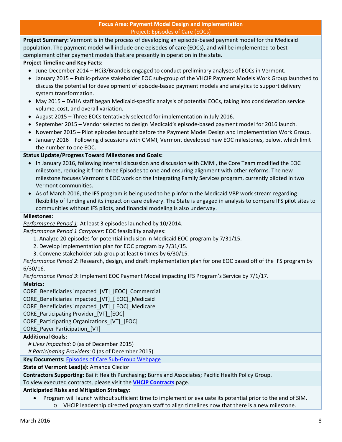**Project Summary:** Vermont is in the process of developing an episode‐based payment model for the Medicaid population. The payment model will include one episodes of care (EOCs), and will be implemented to best complement other payment models that are presently in operation in the state.

# **Project Timeline and Key Facts:**

- June-December 2014 HCi3/Brandeis engaged to conduct preliminary analyses of EOCs in Vermont.
- January 2015 Public‐private stakeholder EOC sub‐group of the VHCIP Payment Models Work Group launched to discuss the potential for development of episode‐based payment models and analytics to support delivery system transformation.
- May 2015 DVHA staff began Medicaid-specific analysis of potential EOCs, taking into consideration service volume, cost, and overall variation.
- August 2015 Three EOCs tentatively selected for implementation in July 2016.
- September 2015 Vendor selected to design Medicaid's episode-based payment model for 2016 launch.
- November 2015 Pilot episodes brought before the Payment Model Design and Implementation Work Group.
- January 2016 Following discussions with CMMI, Vermont developed new EOC milestones, below, which limit the number to one EOC.

# **Status Update/Progress Toward Milestones and Goals:**

- In January 2016, following internal discussion and discussion with CMMI, the Core Team modified the EOC milestone, reducing it from three Episodes to one and ensuring alignment with other reforms. The new milestone focuses Vermont's EOC work on the Integrating Family Services program, currently piloted in two Vermont communities.
- As of March 2016, the IFS program is being used to help inform the Medicaid VBP work stream regarding flexibility of funding and its impact on care delivery. The State is engaged in analysis to compare IFS pilot sites to communities without IFS pilots, and financial modeling is also underway.

# **Milestones:**

*Performance Period 1*: At least 3 episodes launched by 10/2014.

*Performance Period 1 Carryover*: EOC feasibility analyses:

- 1. Analyze 20 episodes for potential inclusion in Medicaid EOC program by 7/31/15.
- 2. Develop implementation plan for EOC program by 7/31/15.
- 3. Convene stakeholder sub‐group at least 6 times by 6/30/15.

*Performance Period 2*: Research, design, and draft implementation plan for one EOC based off of the IFS program by 6/30/16.

*Performance Period 3*: Implement EOC Payment Model impacting IFS Program's Service by 7/1/17.

# **Metrics:**

CORE\_Beneficiaries impacted\_[VT]\_[EOC]\_Commercial

CORE\_Beneficiaries impacted\_[VT]\_[ EOC]\_Medicaid

CORE\_Beneficiaries impacted\_[VT]\_[ EOC]\_Medicare

CORE\_Participating Provider\_[VT]\_[EOC]

CORE\_Participating Organizations\_[VT]\_[EOC]

CORE\_Payer Participation\_[VT]

# **Additional Goals:**

*# Lives Impacted:* 0 (as of December 2015)

*# Participating Providers:* 0 (as of December 2015)

**Key Documents:** Episodes of Care Sub‐Group Webpage

**State of Vermont Lead(s):** Amanda Ciecior

**Contractors Supporting:** Bailit Health Purchasing; Burns and Associates; Pacific Health Policy Group.

To view executed contracts, please visit the **VHCIP Contracts** page.

# **Anticipated Risks and Mitigation Strategy:**

 Program will launch without sufficient time to implement or evaluate its potential prior to the end of SIM. o VHCIP leadership directed program staff to align timelines now that there is a new milestone.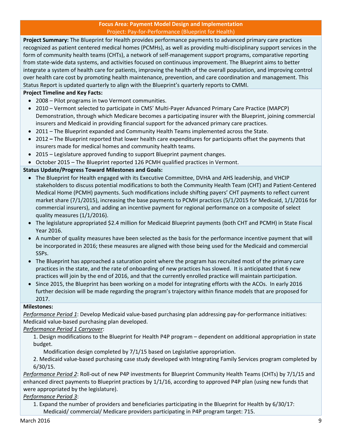### **Focus Area: Payment Model Design and Implementation** Project: Pay‐for‐Performance (Blueprint for Health)

**Project Summary:** The Blueprint for Health provides performance payments to advanced primary care practices recognized as patient centered medical homes (PCMHs), as well as providing multi‐disciplinary support services in the form of community health teams (CHTs), a network of self-management support programs, comparative reporting from state‐wide data systems, and activities focused on continuous improvement. The Blueprint aims to better integrate a system of health care for patients, improving the health of the overall population, and improving control over health care cost by promoting health maintenance, prevention, and care coordination and management. This Status Report is updated quarterly to align with the Blueprint's quarterly reports to CMMI.

# **Project Timeline and Key Facts:**

- 2008 Pilot programs in two Vermont communities.
- 2010 Vermont selected to participate in CMS' Multi-Payer Advanced Primary Care Practice (MAPCP) Demonstration, through which Medicare becomes a participating insurer with the Blueprint, joining commercial insurers and Medicaid in providing financial support for the advanced primary care practices.
- 2011 The Blueprint expanded and Community Health Teams implemented across the State.
- 2012 **–** The Blueprint reported that lower health care expenditures for participants offset the payments that insurers made for medical homes and community health teams.
- 2015 Legislature approved funding to support Blueprint payment changes.
- October 2015 The Blueprint reported 126 PCMH qualified practices in Vermont.

# **Status Update/Progress Toward Milestones and Goals:**

- The Blueprint for Health engaged with its Executive Committee, DVHA and AHS leadership, and VHCIP stakeholders to discuss potential modifications to both the Community Health Team (CHT) and Patient‐Centered Medical Home (PCMH) payments. Such modifications include shifting payers' CHT payments to reflect current market share (7/1/2015), increasing the base payments to PCMH practices (5/1/2015 for Medicaid, 1/1/2016 for commercial insurers), and adding an incentive payment for regional performance on a composite of select quality measures (1/1/2016).
- The legislature appropriated \$2.4 million for Medicaid Blueprint payments (both CHT and PCMH) in State Fiscal Year 2016.
- A number of quality measures have been selected as the basis for the performance incentive payment that will be incorporated in 2016; these measures are aligned with those being used for the Medicaid and commercial SSPs.
- The Blueprint has approached a saturation point where the program has recruited most of the primary care practices in the state, and the rate of onboarding of new practices has slowed. It is anticipated that 6 new practices will join by the end of 2016, and that the currently enrolled practice will maintain participation.
- Since 2015, the Blueprint has been working on a model for integrating efforts with the ACOs. In early 2016 further decision will be made regarding the program's trajectory within finance models that are proposed for 2017.

# **Milestones:**

*Performance Period 1*: Develop Medicaid value‐based purchasing plan addressing pay‐for‐performance initiatives: Medicaid value‐based purchasing plan developed.

# *Performance Period 1 Carryover*:

1. Design modifications to the Blueprint for Health P4P program – dependent on additional appropriation in state budget.

Modification design completed by 7/1/15 based on Legislative appropriation.

2. Medicaid value‐based purchasing case study developed with Integrating Family Services program completed by 6/30/15.

*Performance Period 2*: Roll‐out of new P4P investments for Blueprint Community Health Teams (CHTs) by 7/1/15 and enhanced direct payments to Blueprint practices by 1/1/16, according to approved P4P plan (using new funds that were appropriated by the legislature).

# *Performance Period 3*:

1. Expand the number of providers and beneficiaries participating in the Blueprint for Health by 6/30/17: Medicaid/ commercial/ Medicare providers participating in P4P program target: 715.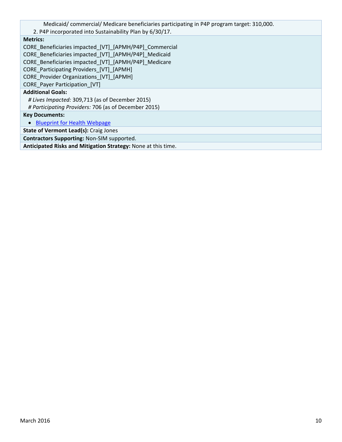Medicaid/ commercial/ Medicare beneficiaries participating in P4P program target: 310,000.

2. P4P incorporated into Sustainability Plan by 6/30/17.

# **Metrics:**

CORE\_Beneficiaries impacted\_[VT]\_[APMH/P4P]\_Commercial CORE\_Beneficiaries impacted\_[VT]\_[APMH/P4P]\_Medicaid CORE\_Beneficiaries impacted\_[VT]\_[APMH/P4P]\_Medicare CORE\_Participating Providers\_[VT]\_[APMH] CORE\_Provider Organizations\_[VT]\_[APMH] CORE\_Payer Participation\_[VT] **Additional Goals:** *# Lives Impacted:* 309,713 (as of December 2015) *# Participating Providers:* 706 (as of December 2015) **Key Documents:** • Blueprint for Health Webpage **State of Vermont Lead(s):** Craig Jones **Contractors Supporting:** Non‐SIM supported. **Anticipated Risks and Mitigation Strategy:** None at this time.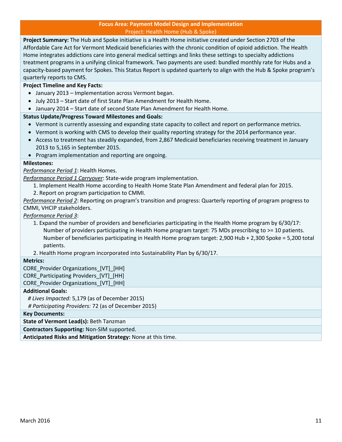#### **Focus Area: Payment Model Design and Implementation** Project: Health Home (Hub & Spoke)

**Project Summary:** The Hub and Spoke initiative is a Health Home initiative created under Section 2703 of the Affordable Care Act for Vermont Medicaid beneficiaries with the chronic condition of opioid addiction. The Health Home integrates addictions care into general medical settings and links these settings to specialty addictions treatment programs in a unifying clinical framework. Two payments are used: bundled monthly rate for Hubs and a capacity-based payment for Spokes. This Status Report is updated quarterly to align with the Hub & Spoke program's quarterly reports to CMS.

# **Project Timeline and Key Facts:**

- January 2013 Implementation across Vermont began.
- July 2013 Start date of first State Plan Amendment for Health Home.
- January 2014 Start date of second State Plan Amendment for Health Home.

# **Status Update/Progress Toward Milestones and Goals:**

- Vermont is currently assessing and expanding state capacity to collect and report on performance metrics.
- Vermont is working with CMS to develop their quality reporting strategy for the 2014 performance year.
- Access to treatment has steadily expanded, from 2,867 Medicaid beneficiaries receiving treatment in January 2013 to 5,165 in September 2015.
- Program implementation and reporting are ongoing.

# **Milestones:**

*Performance Period 1*: Health Homes.

*Performance Period 1 Carryover*: State‐wide program implementation.

- 1. Implement Health Home according to Health Home State Plan Amendment and federal plan for 2015.
- 2. Report on program participation to CMMI.

*Performance Period 2*: Reporting on program's transition and progress: Quarterly reporting of program progress to CMMI, VHCIP stakeholders.

*Performance Period 3*:

- 1. Expand the number of providers and beneficiaries participating in the Health Home program by 6/30/17: Number of providers participating in Health Home program target: 75 MDs prescribing to >= 10 patients. Number of beneficiaries participating in Health Home program target: 2,900 Hub + 2,300 Spoke = 5,200 total patients.
- 2. Health Home program incorporated into Sustainability Plan by 6/30/17.

# **Metrics:**

CORE\_Provider Organizations\_[VT]\_[HH] CORE\_Participating Providers\_[VT]\_[HH] CORE\_Provider Organizations\_[VT]\_[HH]

# **Additional Goals:**

*# Lives Impacted:* 5,179 (as of December 2015)

*# Participating Providers:* 72 (as of December 2015)

**Key Documents:**

**State of Vermont Lead(s):** Beth Tanzman

**Contractors Supporting:** Non‐SIM supported.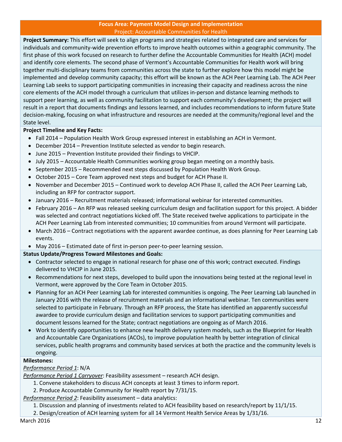#### **Focus Area: Payment Model Design and Implementation** Project: Accountable Communities for Health

**Project Summary:** This effort will seek to align programs and strategies related to integrated care and services for individuals and community‐wide prevention efforts to improve health outcomes within a geographic community. The first phase of this work focused on research to further define the Accountable Communities for Health (ACH) model and identify core elements. The second phase of Vermont's Accountable Communities for Health work will bring together multi‐disciplinary teams from communities across the state to further explore how this model might be implemented and develop community capacity; this effort will be known as the ACH Peer Learning Lab. The ACH Peer Learning Lab seeks to support participating communities in increasing their capacity and readiness across the nine core elements of the ACH model through a curriculum that utilizes in‐person and distance learning methods to support peer learning, as well as community facilitation to support each community's development; the project will result in a report that documents findings and lessons learned, and includes recommendations to inform future State decision‐making, focusing on what infrastructure and resources are needed at the community/regional level and the State level.

# **Project Timeline and Key Facts:**

- Fall 2014 Population Health Work Group expressed interest in establishing an ACH in Vermont.
- December 2014 Prevention Institute selected as vendor to begin research.
- June 2015 Prevention Institute provided their findings to VHCIP.
- July 2015 Accountable Health Communities working group began meeting on a monthly basis.
- September 2015 Recommended next steps discussed by Population Health Work Group.
- October 2015 Core Team approved next steps and budget for ACH Phase II.
- November and December 2015 Continued work to develop ACH Phase II, called the ACH Peer Learning Lab, including an RFP for contractor support.
- January 2016 Recruitment materials released; informational webinar for interested communities.
- February 2016 An RFP was released seeking curriculum design and facilitation support for this project. A bidder was selected and contract negotiations kicked off. The State received twelve applications to participate in the ACH Peer Learning Lab from interested communities; 10 communities from around Vermont will participate.
- March 2016 Contract negotiations with the apparent awardee continue, as does planning for Peer Learning Lab events.
- May 2016 Estimated date of first in‐person peer‐to‐peer learning session.

# **Status Update/Progress Toward Milestones and Goals:**

- Contractor selected to engage in national research for phase one of this work; contract executed. Findings delivered to VHCIP in June 2015.
- Recommendations for next steps, developed to build upon the innovations being tested at the regional level in Vermont, were approved by the Core Team in October 2015.
- Planning for an ACH Peer Learning Lab for interested communities is ongoing. The Peer Learning Lab launched in January 2016 with the release of recruitment materials and an informational webinar. Ten communities were selected to participate in February. Through an RFP process, the State has identified an apparently successful awardee to provide curriculum design and facilitation services to support participating communities and document lessons learned for the State; contract negotiations are ongoing as of March 2016.
- Work to identify opportunities to enhance new health delivery system models, such as the Blueprint for Health and Accountable Care Organizations (ACOs), to improve population health by better integration of clinical services, public health programs and community based services at both the practice and the community levels is ongoing.

# **Milestones:**

# *Performance Period 1*: N/A

*Performance Period 1 Carryover*: Feasibility assessment – research ACH design.

- 1. Convene stakeholders to discuss ACH concepts at least 3 times to inform report.
- 2. Produce Accountable Community for Health report by 7/31/15.

*Performance Period 2*: Feasibility assessment – data analytics:

- 1. Discussion and planning of investments related to ACH feasibility based on research/report by 11/1/15.
- 2. Design/creation of ACH learning system for all 14 Vermont Health Service Areas by 1/31/16.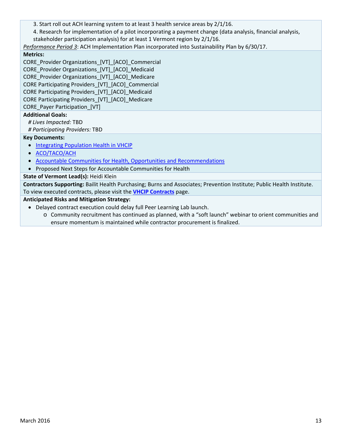3. Start roll out ACH learning system to at least 3 health service areas by 2/1/16.

4. Research for implementation of a pilot incorporating a payment change (data analysis, financial analysis, stakeholder participation analysis) for at least 1 Vermont region by 2/1/16.

*Performance Period 3*: ACH Implementation Plan incorporated into Sustainability Plan by 6/30/17.

# **Metrics:**

CORE\_Provider Organizations\_[VT]\_[ACO]\_Commercial CORE\_Provider Organizations\_[VT]\_[ACO]\_Medicaid CORE Provider Organizations [VT] [ACO] Medicare CORE Participating Providers\_[VT]\_[ACO]\_Commercial CORE Participating Providers\_[VT]\_[ACO]\_Medicaid CORE Participating Providers\_[VT]\_[ACO]\_Medicare CORE\_Payer Participation\_[VT]

# **Additional Goals:**

*# Lives Impacted:* TBD

*# Participating Providers:* TBD

# **Key Documents:**

- Integrating Population Health in VHCIP
- ACO/TACO/ACH
- Accountable Communities for Health, Opportunities and Recommendations
- Proposed Next Steps for Accountable Communities for Health

# **State of Vermont Lead(s):** Heidi Klein

**Contractors Supporting:** Bailit Health Purchasing; Burns and Associates; Prevention Institute; Public Health Institute. To view executed contracts, please visit the **VHCIP Contracts** page.

# **Anticipated Risks and Mitigation Strategy:**

- Delayed contract execution could delay full Peer Learning Lab launch.
	- o Community recruitment has continued as planned, with a "soft launch" webinar to orient communities and ensure momentum is maintained while contractor procurement is finalized.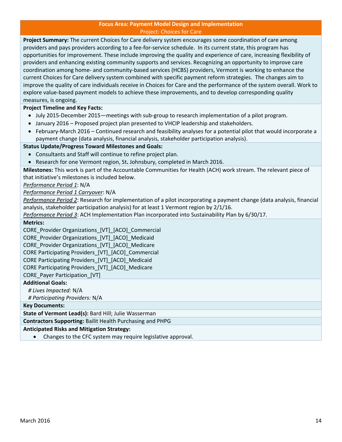#### **Focus Area: Payment Model Design and Implementation** Project: Choices for Care

**Project Summary:** The current Choices for Care delivery system encourages some coordination of care among providers and pays providers according to a fee‐for‐service schedule. In its current state, this program has opportunities for improvement. These include improving the quality and experience of care, increasing flexibility of providers and enhancing existing community supports and services. Recognizing an opportunity to improve care coordination among home‐ and community‐based services (HCBS) providers, Vermont is working to enhance the current Choices for Care delivery system combined with specific payment reform strategies. The changes aim to improve the quality of care individuals receive in Choices for Care and the performance of the system overall. Work to explore value‐based payment models to achieve these improvements, and to develop corresponding quality measures, is ongoing.

# **Project Timeline and Key Facts:**

- July 2015-December 2015—meetings with sub-group to research implementation of a pilot program.
- January 2016 Proposed project plan presented to VHCIP leadership and stakeholders.
- February-March 2016 Continued research and feasibility analyses for a potential pilot that would incorporate a payment change (data analysis, financial analysis, stakeholder participation analysis).

# **Status Update/Progress Toward Milestones and Goals:**

- Consultants and Staff will continue to refine project plan.
- Research for one Vermont region, St**.** Johnsbury, completed in March 2016.

**Milestones:** This work is part of the Accountable Communities for Health (ACH) work stream. The relevant piece of that initiative's milestones is included below.

*Performance Period 1*: N/A

*Performance Period 1 Carryover*: N/A

*Performance Period 2*: Research for implementation of a pilot incorporating a payment change (data analysis, financial analysis, stakeholder participation analysis) for at least 1 Vermont region by 2/1/16.

*Performance Period 3*: ACH Implementation Plan incorporated into Sustainability Plan by 6/30/17.

#### **Metrics:**

CORE\_Provider Organizations\_[VT]\_[ACO]\_Commercial

CORE\_Provider Organizations\_[VT]\_[ACO]\_Medicaid

CORE Provider Organizations [VT] [ACO] Medicare

CORE Participating Providers\_[VT]\_[ACO]\_Commercial

CORE Participating Providers\_[VT]\_[ACO]\_Medicaid

CORE Participating Providers\_[VT]\_[ACO]\_Medicare

CORE Payer Participation [VT]

# **Additional Goals:**

*# Lives Impacted:* N/A

*# Participating Providers:* N/A

# **Key Documents:**

**State of Vermont Lead(s):** Bard Hill; Julie Wasserman

**Contractors Supporting:** Bailit Health Purchasing and PHPG

# **Anticipated Risks and Mitigation Strategy:**

Changes to the CFC system may require legislative approval.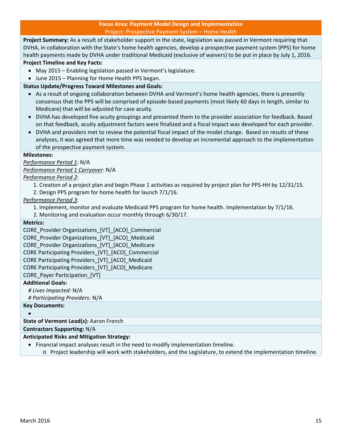#### **Focus Area: Payment Model Design and Implementation** Project: Prospective Payment System – Home Health

**Project Summary:** As a result of stakeholder support in the state, legislation was passed in Vermont requiring that DVHA, in collaboration with the State's home health agencies, develop a prospective payment system (PPS) for home health payments made by DVHA under traditional Medicaid (exclusive of waivers) to be put in place by July 1, 2016.

# **Project Timeline and Key Facts:**

- May 2015 Enabling legislation passed in Vermont's legislature.
- June 2015 Planning for Home Health PPS began.

# **Status Update/Progress Toward Milestones and Goals:**

- As a result of ongoing collaboration between DVHA and Vermont's home health agencies, there is presently consensus that the PPS will be comprised of episode‐based payments (most likely 60 days in length, similar to Medicare) that will be adjusted for case acuity.
- DVHA has developed five acuity groupings and presented them to the provider association for feedback. Based on that feedback, acuity adjustment factors were finalized and a fiscal impact was developed for each provider.
- DVHA and providers met to review the potential fiscal impact of the model change. Based on results of these analyses, it was agreed that more time was needed to develop an incremental approach to the implementation of the prospective payment system.

# **Milestones***:*

# *Performance Period 1*: N/A

*Performance Period 1 Carryover*: N/A

*Performance Period 2*:

- 1. Creation of a project plan and begin Phase 1 activities as required by project plan for PPS‐HH by 12/31/15.
- 2. Design PPS program for home health for launch 7/1/16.

*Performance Period 3*:

- 1. Implement, monitor and evaluate Medicaid PPS program for home health. Implementation by 7/1/16.
- 2. Monitoring and evaluation occur monthly through 6/30/17.

# **Metrics:**

CORE\_Provider Organizations\_[VT]\_[ACO]\_Commercial CORE\_Provider Organizations\_[VT]\_[ACO]\_Medicaid CORE Provider Organizations [VT] [ACO] Medicare CORE Participating Providers\_[VT]\_[ACO]\_Commercial CORE Participating Providers\_[VT]\_[ACO]\_Medicaid CORE Participating Providers\_[VT]\_[ACO]\_Medicare CORE\_Payer Participation\_[VT]

# **Additional Goals:**

*# Lives Impacted:* N/A

*# Participating Providers:* N/A

**Key Documents:**

 $\bullet$ 

# **State of Vermont Lead(s):** Aaron French

**Contractors Supporting:** N/A

# **Anticipated Risks and Mitigation Strategy:**

- Financial impact analyses result in the need to modify implementation timeline.
	- o Project leadership will work with stakeholders, and the Legislature, to extend the implementation timeline.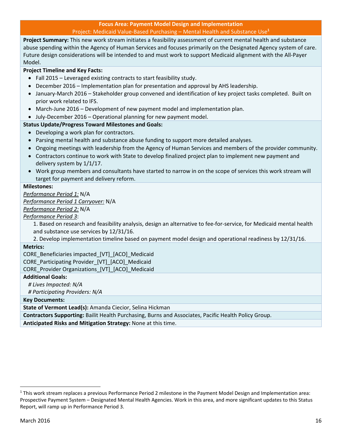#### **Focus Area: Payment Model Design and Implementation** Project: Medicaid Value‐Based Purchasing – Mental Health and Substance Use**<sup>1</sup>**

**Project Summary:** This new work stream initiates a feasibility assessment of current mental health and substance abuse spending within the Agency of Human Services and focuses primarily on the Designated Agency system of care. Future design considerations will be intended to and must work to support Medicaid alignment with the All‐Payer Model.

# **Project Timeline and Key Facts:**

- Fall 2015 Leveraged existing contracts to start feasibility study.
- December 2016 Implementation plan for presentation and approval by AHS leadership.
- January‐March 2016 Stakeholder group convened and identification of key project tasks completed. Built on prior work related to IFS.
- March-June 2016 Development of new payment model and implementation plan.
- July‐December 2016 Operational planning for new payment model.

# **Status Update/Progress Toward Milestones and Goals:**

- Developing a work plan for contractors.
- Parsing mental health and substance abuse funding to support more detailed analyses.
- Ongoing meetings with leadership from the Agency of Human Services and members of the provider community.
- Contractors continue to work with State to develop finalized project plan to implement new payment and delivery system by 1/1/17.
- Work group members and consultants have started to narrow in on the scope of services this work stream will target for payment and delivery reform.

# **Milestones:**

*Performance Period 1:* N/A

*Performance Period 1 Carryover:* N/A

*Performance Period 2:* N/A

*Performance Period 3*:

1. Based on research and feasibility analysis, design an alternative to fee‐for‐service, for Medicaid mental health and substance use services by 12/31/16.

2. Develop implementation timeline based on payment model design and operational readiness by 12/31/16.

# **Metrics:**

CORE\_Beneficiaries impacted\_[VT]\_[ACO]\_Medicaid

CORE\_Participating Provider\_[VT]\_[ACO]\_Medicaid

CORE\_Provider Organizations\_[VT]\_[ACO]\_Medicaid

# **Additional Goals:**

*# Lives Impacted: N/A*

*# Participating Providers: N/A*

**Key Documents:**

**State of Vermont Lead(s):** Amanda Ciecior, Selina Hickman

**Contractors Supporting:** Bailit Health Purchasing, Burns and Associates, Pacific Health Policy Group.

<sup>1</sup> This work stream replaces a previous Performance Period 2 milestone in the Payment Model Design and Implementation area: Prospective Payment System – Designated Mental Health Agencies. Work in this area, and more significant updates to this Status Report, will ramp up in Performance Period 3.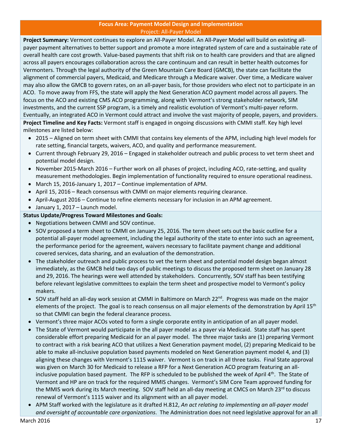#### **Focus Area: Payment Model Design and Implementation** Project: All‐Payer Model

**Project Summary:** Vermont continues to explore an All‐Payer Model. An All‐Payer Model will build on existing all‐ payer payment alternatives to better support and promote a more integrated system of care and a sustainable rate of overall health care cost growth. Value‐based payments that shift risk on to health care providers and that are aligned across all payers encourages collaboration across the care continuum and can result in better health outcomes for Vermonters. Through the legal authority of the Green Mountain Care Board (GMCB), the state can facilitate the alignment of commercial payers, Medicaid, and Medicare through a Medicare waiver. Over time, a Medicare waiver may also allow the GMCB to govern rates, on an all‐payer basis, for those providers who elect not to participate in an ACO. To move away from FFS, the state will apply the Next Generation ACO payment model across all payers. The focus on the ACO and existing CMS ACO programming, along with Vermont's strong stakeholder network, SIM investments, and the current SSP program, is a timely and realistic evolution of Vermont's multi‐payer reform. Eventually, an integrated ACO in Vermont could attract and involve the vast majority of people, payers, and providers. **Project Timeline and Key Facts:** Vermont staff is engaged in ongoing discussions with CMMI staff. Key high level

milestones are listed below:

- 2015 Aligned on term sheet with CMMI that contains key elements of the APM, including high level models for rate setting, financial targets, waivers, ACO, and quality and performance measurement.
- Current through February 29, 2016 Engaged in stakeholder outreach and public process to vet term sheet and potential model design.
- November 2015-March 2016 Further work on all phases of project, including ACO, rate-setting, and quality measurement methodologies. Begin implementation of functionality required to ensure operational readiness.
- March 15, 2016‐January 1, 2017 Continue implementation of APM.
- April 15, 2016 Reach consensus with CMMI on major elements requiring clearance.
- April-August 2016 Continue to refine elements necessary for inclusion in an APM agreement.
- January 1, 2017 Launch model.

# **Status Update/Progress Toward Milestones and Goals:**

- Negotiations between CMMI and SOV continue.
- SOV proposed a term sheet to CMMI on January 25, 2016. The term sheet sets out the basic outline for a potential all‐payer model agreement, including the legal authority of the state to enter into such an agreement, the performance period for the agreement, waivers necessary to facilitate payment change and additional covered services, data sharing, and an evaluation of the demonstration.
- The stakeholder outreach and public process to vet the term sheet and potential model design began almost immediately, as the GMCB held two days of public meetings to discuss the proposed term sheet on January 28 and 29, 2016. The hearings were well attended by stakeholders. Concurrently, SOV staff has been testifying before relevant legislative committees to explain the term sheet and prospective model to Vermont's policy makers.
- SOV staff held an all-day work session at CMMI in Baltimore on March 22<sup>nd</sup>. Progress was made on the major elements of the project. The goal is to reach consensus on all major elements of the demonstration by April 15<sup>th</sup> so that CMMI can begin the federal clearance process.
- Vermont's three major ACOs voted to form a single corporate entity in anticipation of an all payer model.
- The State of Vermont would participate in the all payer model as a payer via Medicaid. State staff has spent considerable effort preparing Medicaid for an al payer model. The three major tasks are (1) preparing Vermont to contract with a risk bearing ACO that utilizes a Next Generation payment model, (2) preparing Medicaid to be able to make all‐inclusive population based payments modeled on Next Generation payment model 4, and (3) aligning these changes with Vermont's 1115 waiver. Vermont is on track in all three tasks. Final State approval was given on March 30 for Medicaid to release a RFP for a Next Generation ACO program featuring an allinclusive population based payment. The RFP is scheduled to be published the week of April 4<sup>th</sup>. The State of Vermont and HP are on track for the required MMIS changes. Vermont's SIM Core Team approved funding for the MMIS work during its March meeting. SOV staff held an all-day meeting at CMCS on March 23<sup>rd</sup> to discuss renewal of Vermont's 1115 waiver and its alignment with an all payer model.
- APM Staff worked with the legislature as it drafted H.812, *An act relating to implementing an all‐payer model and oversight of accountable care organizations*. The Administration does not need legislative approval for an all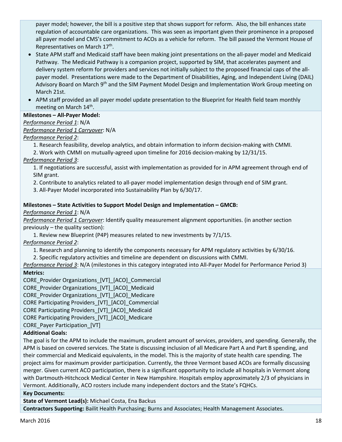payer model; however, the bill is a positive step that shows support for reform. Also, the bill enhances state regulation of accountable care organizations. This was seen as important given their prominence in a proposed all payer model and CMS's commitment to ACOs as a vehicle for reform. The bill passed the Vermont House of Representatives on March 17<sup>th</sup>.

- State APM staff and Medicaid staff have been making joint presentations on the all-payer model and Medicaid Pathway. The Medicaid Pathway is a companion project, supported by SIM, that accelerates payment and delivery system reform for providers and services not initially subject to the proposed financial caps of the all‐ payer model. Presentations were made to the Department of Disabilities, Aging, and Independent Living (DAIL) Advisory Board on March 9<sup>th</sup> and the SIM Payment Model Design and Implementation Work Group meeting on March 21st.
- APM staff provided an all payer model update presentation to the Blueprint for Health field team monthly meeting on March 14<sup>th</sup>.

# **Milestones – All‐Payer Model:**

# *Performance Period 1*: N/A

# *Performance Period 1 Carryover*: N/A

# *Performance Period 2*:

1. Research feasibility, develop analytics, and obtain information to inform decision‐making with CMMI.

2. Work with CMMI on mutually‐agreed upon timeline for 2016 decision‐making by 12/31/15.

# *Performance Period 3*:

1. If negotiations are successful, assist with implementation as provided for in APM agreement through end of SIM grant.

2. Contribute to analytics related to all‐payer model implementation design through end of SIM grant.

3. All‐Payer Model incorporated into Sustainability Plan by 6/30/17.

# **Milestones – State Activities to Support Model Design and Implementation – GMCB:**

# *Performance Period 1*: N/A

*Performance Period 1 Carryover*: Identify quality measurement alignment opportunities. (in another section previously – the quality section):

1. Review new Blueprint (P4P) measures related to new investments by 7/1/15.

*Performance Period 2*:

1. Research and planning to identify the components necessary for APM regulatory activities by 6/30/16.

2. Specific regulatory activities and timeline are dependent on discussions with CMMI.

# *Performance Period 3*: N/A (milestones in this category integrated into All‐Payer Model for Performance Period 3)

# **Metrics:**

CORE\_Provider Organizations\_[VT]\_[ACO]\_Commercial

CORE\_Provider Organizations\_[VT]\_[ACO]\_Medicaid

CORE\_Provider Organizations\_[VT]\_[ACO]\_Medicare

CORE Participating Providers\_[VT]\_[ACO]\_Commercial

CORE Participating Providers\_[VT]\_[ACO]\_Medicaid

CORE Participating Providers\_[VT]\_[ACO]\_Medicare

CORE\_Payer Participation\_[VT]

# **Additional Goals:**

The goal is for the APM to include the maximum, prudent amount of services, providers, and spending. Generally, the APM is based on covered services. The State is discussing inclusion of all Medicare Part A and Part B spending, and their commercial and Medicaid equivalents, in the model. This is the majority of state health care spending. The project aims for maximum provider participation. Currently, the three Vermont based ACOs are formally discussing merger. Given current ACO participation, there is a significant opportunity to include all hospitals in Vermont along with Dartmouth-Hitchcock Medical Center in New Hampshire. Hospitals employ approximately 2/3 of physicians in Vermont. Additionally, ACO rosters include many independent doctors and the State's FQHCs.

# **Key Documents:**

**State of Vermont Lead(s):** Michael Costa, Ena Backus

**Contractors Supporting:** Bailit Health Purchasing; Burns and Associates; Health Management Associates.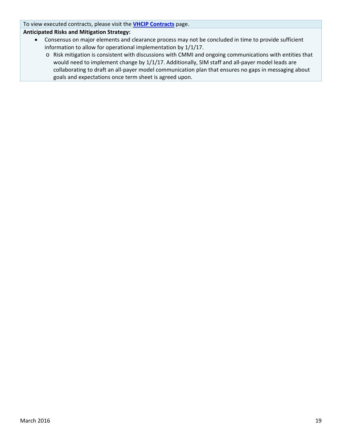To view executed contracts, please visit the **VHCIP Contracts** page.

# **Anticipated Risks and Mitigation Strategy:**

- Consensus on major elements and clearance process may not be concluded in time to provide sufficient information to allow for operational implementation by 1/1/17.
	- o Risk mitigation is consistent with discussions with CMMI and ongoing communications with entities that would need to implement change by 1/1/17. Additionally, SIM staff and all-payer model leads are collaborating to draft an all‐payer model communication plan that ensures no gaps in messaging about goals and expectations once term sheet is agreed upon.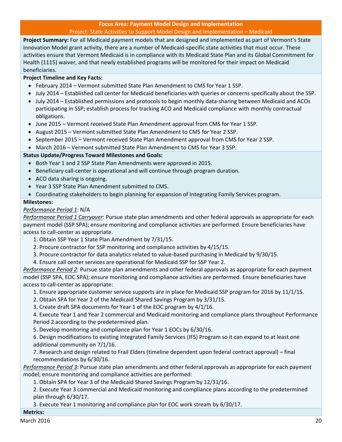# **Focus Area: Payment Model Design and Implementation** Project: State Activities to Support Model Design and Implementation – Medicaid

**Project Summary:** For all Medicaid payment models that are designed and implemented as part of Vermont's State Innovation Model grant activity, there are a number of Medicaid‐specific state activities that must occur. These activities ensure that Vermont Medicaid is in compliance with its Medicaid State Plan and its Global Commitment for Health (1115) waiver, and that newly established programs will be monitored for their impact on Medicaid beneficiaries.

# **Project Timeline and Key Facts:**

- February 2014 Vermont submitted State Plan Amendment to CMS for Year 1 SSP.
- July 2014 Established call center for Medicaid beneficiaries with queries or concerns specifically about the SSP.
- July 2014 Established permissions and protocols to begin monthly data-sharing between Medicaid and ACOs participating in SSP; establish process for tracking ACO and Medicaid compliance with monthly contractual obligations.
- June 2015 Vermont received State Plan Amendment approval from CMS for Year 1 SSP.
- August 2015 Vermont submitted State Plan Amendment to CMS for Year 2 SSP.
- September 2015 Vermont received State Plan Amendment approval from CMS for Year 2 SSP.
- March 2016 Vermont submitted State Plan Amendment to CMS for Year 3 SSP.

# **Status Update/Progress Toward Milestones and Goals:**

- Both Year 1 and 2 SSP State Plan Amendments were approved in 2015.
- Beneficiary call-center is operational and will continue through program duration.
- ACO data sharing is ongoing.
- Year 3 SSP State Plan Amendment submitted to CMS.
- Coordinating stakeholders to begin planning for expansion of Integrating Family Services program.

# **Milestones:**

# *Performance Period 1*: N/A

*Performance Period 1 Carryover*: Pursue state plan amendments and other federal approvals as appropriate for each payment model (SSP SPA); ensure monitoring and compliance activities are performed. Ensure beneficiaries have access to call‐center as appropriate.

1. Obtain SSP Year 1 State Plan Amendment by 7/31/15.

- 2. Procure contractor for SSP monitoring and compliance activities by 4/15/15.
- 3. Procure contractor for data analytics related to value‐based purchasing in Medicaid by 9/30/15.
- 4. Ensure call center services are operational for Medicaid SSP for SSP Year 2.

*Performance Period 2*: Pursue state plan amendments and other federal approvals as appropriate for each payment model (SSP SPA, EOC SPA); ensure monitoring and compliance activities are performed. Ensure beneficiaries have access to call‐center as appropriate:

- 1. Ensure appropriate customer service supports are in place for Medicaid SSP program for 2016 by 11/1/15.
- 2. Obtain SPA for Year 2 of the Medicaid Shared Savings Program by 3/31/15.

3. Create draft SPA documents for Year 1 of the EOC program by 4/1/16.

4. Execute Year 1 and Year 2 commercial and Medicaid monitoring and compliance plans throughout Performance Period 2 according to the predetermined plan.

5. Develop monitoring and compliance plan for Year 1 EOCs by 6/30/16.

6. Design modifications to existing Integrated Family Services (IFS) Program so it can expand to at least one additional community on 7/1/16.

7. Research and design related to Frail Elders (timeline dependent upon federal contract approval) – final recommendations by 6/30/16.

*Performance Period 3*: Pursue state plan amendments and other federal approvals as appropriate for each payment model; ensure monitoring and compliance activities are performed:

1. Obtain SPA for Year 3 of the Medicaid Shared Savings Program by 12/31/16.

2. Execute Year 3 commercial and Medicaid monitoring and compliance plans according to the predetermined plan through 6/30/17.

3. Execute Year 1 monitoring and compliance plan for EOC work stream by 6/30/17.

# **Metrics:**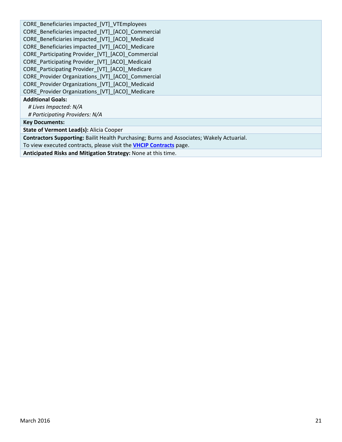| CORE_Beneficiaries impacted [VT]_VTEmployees                                              |
|-------------------------------------------------------------------------------------------|
| CORE_Beneficiaries impacted [VT] [ACO] Commercial                                         |
| CORE Beneficiaries impacted [VT] [ACO] Medicaid                                           |
| CORE Beneficiaries impacted [VT] [ACO] Medicare                                           |
| CORE Participating Provider [VT] [ACO] Commercial                                         |
| CORE Participating Provider [VT] [ACO] Medicaid                                           |
| CORE_Participating Provider_[VT]_[ACO]_Medicare                                           |
| CORE_Provider Organizations_[VT]_[ACO]_Commercial                                         |
| CORE Provider Organizations [VT] [ACO] Medicaid                                           |
| CORE_Provider Organizations_[VT]_[ACO]_Medicare                                           |
| <b>Additional Goals:</b>                                                                  |
| # Lives Impacted: N/A                                                                     |
| # Participating Providers: N/A                                                            |
| <b>Key Documents:</b>                                                                     |
| State of Vermont Lead(s): Alicia Cooper                                                   |
| Contractors Supporting: Bailit Health Purchasing; Burns and Associates; Wakely Actuarial. |
| To view executed contracts, please visit the <b>VHCIP Contracts</b> page.                 |
| Anathelic at a di Film and a Milleration. Closes and Manager this time a                  |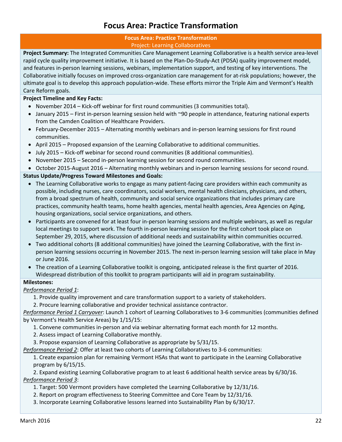# **Focus Area: Practice Transformation**

### **Focus Area: Practice Transformation** Project: Learning Collaboratives

**Project Summary:** The Integrated Communities Care Management Learning Collaborative is a health service area‐level rapid cycle quality improvement initiative. It is based on the Plan‐Do‐Study‐Act (PDSA) quality improvement model, and features in‐person learning sessions, webinars, implementation support, and testing of key interventions. The Collaborative initially focuses on improved cross‐organization care management for at‐risk populations; however, the ultimate goal is to develop this approach population‐wide. These efforts mirror the Triple Aim and Vermont's Health Care Reform goals.

# **Project Timeline and Key Facts:**

- November 2014 Kick-off webinar for first round communities (3 communities total).
- January 2015 First in-person learning session held with ~90 people in attendance, featuring national experts from the Camden Coalition of Healthcare Providers.
- February-December 2015 Alternating monthly webinars and in-person learning sessions for first round communities.
- April 2015 Proposed expansion of the Learning Collaborative to additional communities.
- July 2015 Kick-off webinar for second round communities (8 additional communities).
- November 2015 Second in-person learning session for second round communities.
- October 2015-August 2016 Alternating monthly webinars and in-person learning sessions for second round.

# **Status Update/Progress Toward Milestones and Goals:**

- The Learning Collaborative works to engage as many patient-facing care providers within each community as possible, including nurses, care coordinators, social workers, mental health clinicians, physicians, and others, from a broad spectrum of health, community and social service organizations that includes primary care practices, community health teams, home health agencies, mental health agencies, Area Agencies on Aging, housing organizations, social service organizations, and others.
- Participants are convened for at least four in-person learning sessions and multiple webinars, as well as regular local meetings to support work. The fourth in‐person learning session for the first cohort took place on September 29, 2015, where discussion of additional needs and sustainability within communities occurred.
- Two additional cohorts (8 additional communities) have joined the Learning Collaborative, with the first in‐ person learning sessions occurring in November 2015. The next in‐person learning session will take place in May or June 2016.
- The creation of a Learning Collaborative toolkit is ongoing, anticipated release is the first quarter of 2016. Widespread distribution of this toolkit to program participants will aid in program sustainability.

# **Milestones:**

*Performance Period 1*:

1. Provide quality improvement and care transformation support to a variety of stakeholders.

2. Procure learning collaborative and provider technical assistance contractor.

*Performance Period 1 Carryover*: Launch 1 cohort of Learning Collaboratives to 3‐6 communities (communities defined by Vermont's Health Service Areas) by 1/15/15:

1. Convene communities in‐person and via webinar alternating format each month for 12 months.

2. Assess impact of Learning Collaborative monthly.

3. Propose expansion of Learning Collaborative as appropriate by 5/31/15.

*Performance Period 2*: Offer at least two cohorts of Learning Collaboratives to 3‐6 communities:

1. Create expansion plan for remaining Vermont HSAs that want to participate in the Learning Collaborative program by 6/15/15.

2. Expand existing Learning Collaborative program to at least 6 additional health service areas by 6/30/16. *Performance Period 3*:

- 1. Target: 500 Vermont providers have completed the Learning Collaborative by 12/31/16.
- 2. Report on program effectiveness to Steering Committee and Core Team by 12/31/16.
- 3. Incorporate Learning Collaborative lessons learned into Sustainability Plan by 6/30/17.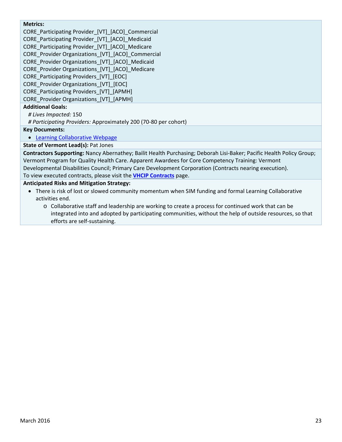# **Metrics:**

CORE\_Participating Provider\_[VT]\_[ACO]\_Commercial CORE\_Participating Provider\_[VT]\_[ACO]\_Medicaid CORE\_Participating Provider [VT]\_[ACO]\_Medicare CORE Provider Organizations [VT] [ACO] Commercial CORE\_Provider Organizations\_[VT]\_[ACO]\_Medicaid CORE\_Provider Organizations\_[VT]\_[ACO]\_Medicare

CORE\_Participating Providers\_[VT]\_[EOC]

CORE\_Provider Organizations\_[VT]\_[EOC]

CORE\_Participating Providers\_[VT]\_[APMH]

CORE\_Provider Organizations\_[VT]\_[APMH]

# **Additional Goals:**

*# Lives Impacted:* 150

*# Participating Providers:* Approximately 200 (70‐80 per cohort)

**Key Documents:**

Learning Collaborative Webpage

# **State of Vermont Lead(s):** Pat Jones

**Contractors Supporting:** Nancy Abernathey; Bailit Health Purchasing; Deborah Lisi‐Baker; Pacific Health Policy Group; Vermont Program for Quality Health Care. Apparent Awardees for Core Competency Training: Vermont Developmental Disabilities Council; Primary Care Development Corporation (Contracts nearing execution). To view executed contracts, please visit the **VHCIP Contracts** page.

# **Anticipated Risks and Mitigation Strategy:**

- There is risk of lost or slowed community momentum when SIM funding and formal Learning Collaborative activities end.
	- o Collaborative staff and leadership are working to create a process for continued work that can be integrated into and adopted by participating communities, without the help of outside resources, so that efforts are self‐sustaining.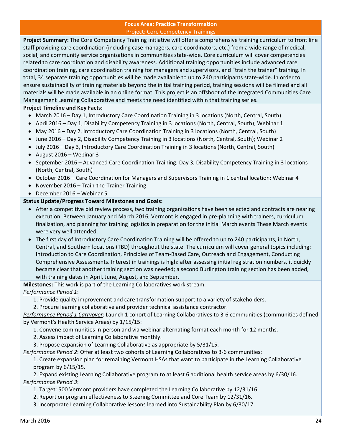# **Focus Area: Practice Transformation** Project: Core Competency Trainings

**Project Summary:** The Core Competency Training initiative will offer a comprehensive training curriculum to front line staff providing care coordination (including case managers, care coordinators, etc.) from a wide range of medical, social, and community service organizations in communities state‐wide. Core curriculum will cover competencies related to care coordination and disability awareness. Additional training opportunities include advanced care coordination training, care coordination training for managers and supervisors, and "train the trainer" training. In total, 34 separate training opportunities will be made available to up to 240 participants state‐wide. In order to ensure sustainability of training materials beyond the initial training period, training sessions will be filmed and all materials will be made available in an online format. This project is an offshoot of the Integrated Communities Care Management Learning Collaborative and meets the need identified within that training series.

# **Project Timeline and Key Facts:**

- March 2016 Day 1, Introductory Care Coordination Training in 3 locations (North, Central, South)
- April 2016 Day 1, Disability Competency Training in 3 locations (North, Central, South); Webinar 1
- May 2016 Day 2, Introductory Care Coordination Training in 3 locations (North, Central, South)
- June 2016 Day 2, Disability Competency Training in 3 locations (North, Central, South); Webinar 2
- July 2016 Day 3, Introductory Care Coordination Training in 3 locations (North, Central, South)
- August  $2016$  Webinar 3
- September 2016 Advanced Care Coordination Training; Day 3, Disability Competency Training in 3 locations (North, Central, South)
- October 2016 Care Coordination for Managers and Supervisors Training in 1 central location; Webinar 4
- November 2016 Train-the-Trainer Training
- December 2016 Webinar 5

# **Status Update/Progress Toward Milestones and Goals:**

- After a competitive bid review process, two training organizations have been selected and contracts are nearing execution. Between January and March 2016, Vermont is engaged in pre‐planning with trainers, curriculum finalization, and planning for training logistics in preparation for the initial March events These March events were very well attended.
- The first day of Introductory Care Coordination Training will be offered to up to 240 participants, in North, Central, and Southern locations (TBD) throughout the state. The curriculum will cover general topics including: Introduction to Care Coordination, Principles of Team‐Based Care, Outreach and Engagement, Conducting Comprehensive Assessments. Interest in trainings is high: after assessing initial registration numbers, it quickly became clear that another training section was needed; a second Burlington training section has been added, with training dates in April, June, August, and September.

**Milestones:** This work is part of the Learning Collaboratives work stream.

# *Performance Period 1*:

1. Provide quality improvement and care transformation support to a variety of stakeholders.

2. Procure learning collaborative and provider technical assistance contractor.

*Performance Period 1 Carryover*: Launch 1 cohort of Learning Collaboratives to 3‐6 communities (communities defined by Vermont's Health Service Areas) by 1/15/15:

1. Convene communities in‐person and via webinar alternating format each month for 12 months.

- 2. Assess impact of Learning Collaborative monthly.
- 3. Propose expansion of Learning Collaborative as appropriate by 5/31/15.

*Performance Period 2*: Offer at least two cohorts of Learning Collaboratives to 3‐6 communities:

1. Create expansion plan for remaining Vermont HSAs that want to participate in the Learning Collaborative program by 6/15/15.

2. Expand existing Learning Collaborative program to at least 6 additional health service areas by 6/30/16. *Performance Period 3*:

1. Target: 500 Vermont providers have completed the Learning Collaborative by 12/31/16.

- 2. Report on program effectiveness to Steering Committee and Core Team by 12/31/16.
- 3. Incorporate Learning Collaborative lessons learned into Sustainability Plan by 6/30/17.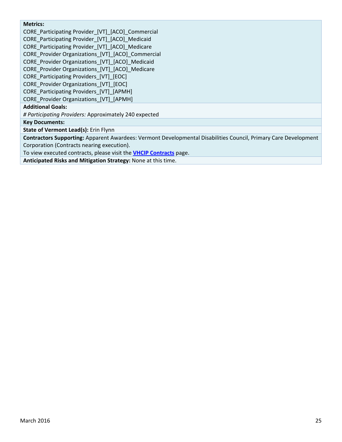# **Metrics:**

CORE\_Participating Provider\_[VT]\_[ACO]\_Commercial

CORE\_Participating Provider\_[VT]\_[ACO]\_Medicaid

CORE Participating Provider [VT] [ACO] Medicare

CORE\_Provider Organizations\_[VT]\_[ACO]\_Commercial

CORE\_Provider Organizations\_[VT]\_[ACO]\_Medicaid

CORE\_Provider Organizations\_[VT]\_[ACO]\_Medicare

CORE\_Participating Providers\_[VT]\_[EOC]

CORE\_Provider Organizations\_[VT]\_[EOC]

CORE\_Participating Providers\_[VT]\_[APMH]

CORE\_Provider Organizations\_[VT]\_[APMH]

# **Additional Goals:**

*# Participating Providers:* Approximately 240 expected

**Key Documents:**

**State of Vermont Lead(s):** Erin Flynn

**Contractors Supporting:** Apparent Awardees: Vermont Developmental Disabilities Council, Primary Care Development Corporation (Contracts nearing execution).

To view executed contracts, please visit the **VHCIP Contracts** page.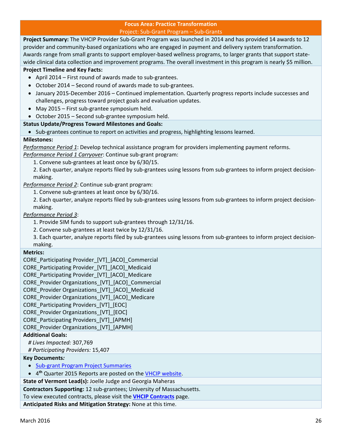# **Focus Area: Practice Transformation** Project: Sub‐Grant Program – Sub‐Grants

**Project Summary:** The VHCIP Provider Sub‐Grant Program was launched in 2014 and has provided 14 awards to 12 provider and community‐based organizations who are engaged in payment and delivery system transformation. Awards range from small grants to support employer-based wellness programs, to larger grants that support statewide clinical data collection and improvement programs. The overall investment in this program is nearly \$5 million.

# **Project Timeline and Key Facts:**

- April 2014 First round of awards made to sub-grantees.
- October 2014 Second round of awards made to sub-grantees.
- January 2015-December 2016 Continued implementation. Quarterly progress reports include successes and challenges, progress toward project goals and evaluation updates.
- May 2015 First sub-grantee symposium held.
- October 2015 Second sub‐grantee symposium held.

# **Status Update/Progress Toward Milestones and Goals:**

• Sub-grantees continue to report on activities and progress, highlighting lessons learned.

# **Milestones:**

*Performance Period 1*: Develop technical assistance program for providers implementing payment reforms.

*Performance Period 1 Carryover*: Continue sub‐grant program:

1. Convene sub‐grantees at least once by 6/30/15.

2. Each quarter, analyze reports filed by sub-grantees using lessons from sub-grantees to inform project decisionmaking.

*Performance Period 2*: Continue sub‐grant program:

1. Convene sub‐grantees at least once by 6/30/16.

2. Each quarter, analyze reports filed by sub-grantees using lessons from sub-grantees to inform project decisionmaking.

*Performance Period 3*:

1. Provide SIM funds to support sub‐grantees through 12/31/16.

2. Convene sub‐grantees at least twice by 12/31/16.

3. Each quarter, analyze reports filed by sub‐grantees using lessons from sub‐grantees to inform project decision‐ making.

# **Metrics:**

CORE\_Participating Provider\_[VT]\_[ACO]\_Commercial

CORE\_Participating Provider\_[VT]\_[ACO]\_Medicaid

CORE Participating Provider [VT] [ACO] Medicare

CORE Provider Organizations [VT] [ACO] Commercial

CORE\_Provider Organizations\_[VT]\_[ACO]\_Medicaid

CORE\_Provider Organizations\_[VT]\_[ACO]\_Medicare

CORE\_Participating Providers\_[VT]\_[EOC]

CORE\_Provider Organizations\_[VT]\_[EOC]

CORE\_Participating Providers\_[VT]\_[APMH]

CORE\_Provider Organizations\_[VT]\_[APMH]

# **Additional Goals:**

*# Lives Impacted:* 307,769

*# Participating Providers:* 15,407

**Key Documents***:*

- Sub-grant Program Project Summaries
- 4**th** Quarter 2015 Reports are posted on the VHCIP website.

**State of Vermont Lead(s):** Joelle Judge and Georgia Maheras

**Contractors Supporting:** 12 sub‐grantees; University of Massachusetts.

To view executed contracts, please visit the **VHCIP Contracts** page.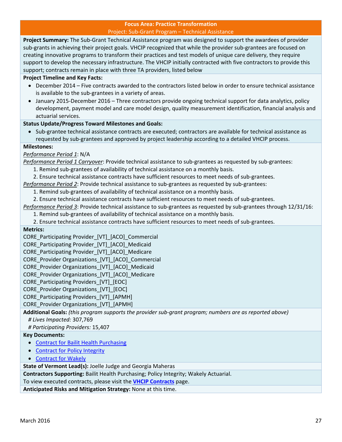### **Focus Area: Practice Transformation** Project: Sub‐Grant Program – Technical Assistance

**Project Summary:** The Sub‐Grant Technical Assistance program was designed to support the awardees of provider sub-grants in achieving their project goals. VHCIP recognized that while the provider sub-grantees are focused on creating innovative programs to transform their practices and test models of unique care delivery, they require support to develop the necessary infrastructure. The VHCIP initially contracted with five contractors to provide this support; contracts remain in place with three TA providers, listed below

# **Project Timeline and Key Facts:**

- December 2014 Five contracts awarded to the contractors listed below in order to ensure technical assistance is available to the sub‐grantees in a variety of areas.
- January 2015-December 2016 Three contractors provide ongoing technical support for data analytics, policy development, payment model and care model design, quality measurement identification, financial analysis and actuarial services.

# **Status Update/Progress Toward Milestones and Goals:**

 Sub‐grantee technical assistance contracts are executed; contractors are available for technical assistance as requested by sub‐grantees and approved by project leadership according to a detailed VHCIP process.

# **Milestones:**

# *Performance Period 1*: N/A

*Performance Period 1 Carryover*: Provide technical assistance to sub‐grantees as requested by sub‐grantees:

- 1. Remind sub‐grantees of availability of technical assistance on a monthly basis.
- 2. Ensure technical assistance contracts have sufficient resources to meet needs of sub‐grantees.

*Performance Period 2*: Provide technical assistance to sub‐grantees as requested by sub‐grantees:

1. Remind sub‐grantees of availability of technical assistance on a monthly basis.

2. Ensure technical assistance contracts have sufficient resources to meet needs of sub‐grantees.

*Performance Period 3*: Provide technical assistance to sub‐grantees as requested by sub‐grantees through 12/31/16:

1. Remind sub‐grantees of availability of technical assistance on a monthly basis.

2. Ensure technical assistance contracts have sufficient resources to meet needs of sub‐grantees.

# **Metrics:**

CORE\_Participating Provider\_[VT]\_[ACO]\_Commercial

CORE\_Participating Provider\_[VT]\_[ACO]\_Medicaid

CORE Participating Provider [VT] [ACO] Medicare

CORE\_Provider Organizations\_[VT]\_[ACO]\_Commercial

CORE\_Provider Organizations\_[VT]\_[ACO]\_Medicaid

CORE Provider Organizations [VT] [ACO] Medicare

CORE Participating Providers [VT] [EOC]

CORE Provider Organizations [VT] [EOC]

CORE\_Participating Providers\_[VT]\_[APMH]

CORE Provider Organizations [VT] [APMH]

**Additional Goals:** *(this program supports the provider sub‐grant program; numbers are as reported above) # Lives Impacted:* 307,769

*# Participating Providers:* 15,407

# **Key Documents:**

- Contract for Bailit Health Purchasing
- Contract for Policy Integrity
- Contract for Wakely

**State of Vermont Lead(s):** Joelle Judge and Georgia Maheras

**Contractors Supporting:** Bailit Health Purchasing; Policy Integrity; Wakely Actuarial.

To view executed contracts, please visit the **VHCIP Contracts** page.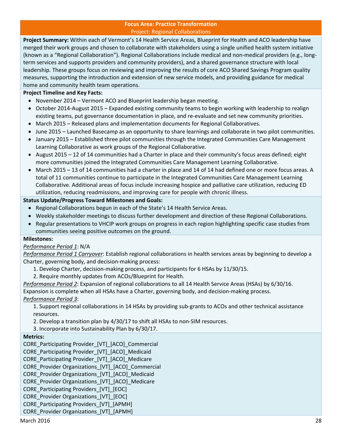#### **Focus Area: Practice Transformation** Project: Regional Collaborations

**Project Summary:** Within each of Vermont's 14 Health Service Areas, Blueprint for Health and ACO leadership have merged their work groups and chosen to collaborate with stakeholders using a single unified health system initiative (known as a "Regional Collaboration"). Regional Collaborations include medical and non‐medical providers (e.g., long‐ term services and supports providers and community providers), and a shared governance structure with local leadership. These groups focus on reviewing and improving the results of core ACO Shared Savings Program quality measures, supporting the introduction and extension of new service models, and providing guidance for medical home and community health team operations.

# **Project Timeline and Key Facts:**

- November 2014 Vermont ACO and Blueprint leadership began meeting.
- October 2014-August 2015 Expanded existing community teams to begin working with leadership to realign existing teams, put governance documentation in place, and re-evaluate and set new community priorities.
- March 2015 Released plans and implementation documents for Regional Collaboratives.
- June 2015 Launched Basecamp as an opportunity to share learnings and collaborate in two pilot communities.
- January 2015 Established three pilot communities through the Integrated Communities Care Management Learning Collaborative as work groups of the Regional Collaborative.
- August 2015 12 of 14 communities had a Charter in place and their community's focus areas defined; eight more communities joined the Integrated Communities Care Management Learning Collaborative.
- March 2015 13 of 14 communities had a charter in place and 14 of 14 had defined one or more focus areas. A total of 11 communities continue to participate in the Integrated Communities Care Management Learning Collaborative. Additional areas of focus include increasing hospice and palliative care utilization, reducing ED utilization, reducing readmissions, and improving care for people with chronic illness.

# **Status Update/Progress Toward Milestones and Goals:**

- Regional Collaborations begun in each of the State's 14 Health Service Areas.
- Weekly stakeholder meetings to discuss further development and direction of these Regional Collaborations.
- Regular presentations to VHCIP work groups on progress in each region highlighting specific case studies from communities seeing positive outcomes on the ground.

# **Milestones:**

# *Performance Period 1*: N/A

*Performance Period 1 Carryover*: Establish regional collaborations in health services areas by beginning to develop a Charter, governing body, and decision‐making process:

- 1. Develop Charter, decision‐making process, and participants for 6 HSAs by 11/30/15.
- 2. Require monthly updates from ACOs/Blueprint for Health.

*Performance Period 2*: Expansion of regional collaborations to all 14 Health Service Areas (HSAs) by 6/30/16.

Expansion is complete when all HSAs have a Charter, governing body, and decision-making process. *Performance Period 3*:

1. Support regional collaborations in 14 HSAs by providing sub‐grants to ACOs and other technical assistance resources.

2. Develop a transition plan by 4/30/17 to shift all HSAs to non‐SIM resources.

3. Incorporate into Sustainability Plan by 6/30/17.

# **Metrics:**

CORE Participating Provider [VT] [ACO] Commercial

CORE\_Participating Provider\_[VT]\_[ACO]\_Medicaid

CORE\_Participating Provider\_[VT]\_[ACO]\_Medicare

CORE\_Provider Organizations\_[VT]\_[ACO]\_Commercial

CORE\_Provider Organizations\_[VT]\_[ACO]\_Medicaid

CORE\_Provider Organizations\_[VT]\_[ACO]\_Medicare

- CORE\_Participating Providers\_[VT]\_[EOC]
- CORE Provider Organizations [VT] [EOC]
- CORE\_Participating Providers\_[VT]\_[APMH]

# CORE\_Provider Organizations\_[VT]\_[APMH]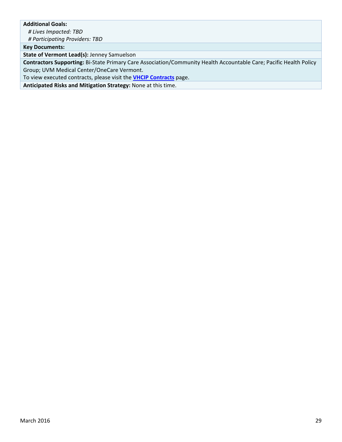# **Additional Goals:**

*# Lives Impacted: TBD*

*# Participating Providers: TBD*

**Key Documents:**

**State of Vermont Lead(s):** Jenney Samuelson

**Contractors Supporting:** Bi‐State Primary Care Association/Community Health Accountable Care; Pacific Health Policy Group; UVM Medical Center/OneCare Vermont.

To view executed contracts, please visit the **VHCIP Contracts** page.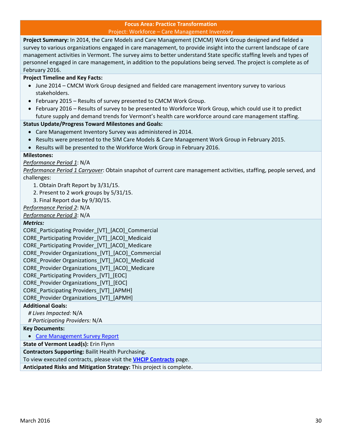#### **Focus Area: Practice Transformation** Project: Workforce – Care Management Inventory

**Project Summary:** In 2014, the Care Models and Care Management (CMCM) Work Group designed and fielded a survey to various organizations engaged in care management, to provide insight into the current landscape of care management activities in Vermont. The survey aims to better understand State specific staffing levels and types of personnel engaged in care management, in addition to the populations being served. The project is complete as of February 2016.

# **Project Timeline and Key Facts:**

- June 2014 CMCM Work Group designed and fielded care management inventory survey to various stakeholders.
- February 2015 Results of survey presented to CMCM Work Group.
- February 2016 Results of survey to be presented to Workforce Work Group, which could use it to predict future supply and demand trends for Vermont's health care workforce around care management staffing.

# **Status Update/Progress Toward Milestones and Goals:**

- Care Management Inventory Survey was administered in 2014.
- Results were presented to the SIM Care Models & Care Management Work Group in February 2015.
- Results will be presented to the Workforce Work Group in February 2016.

#### **Milestones:**

# *Performance Period 1*: N/A

*Performance Period 1 Carryover*: Obtain snapshot of current care management activities, staffing, people served, and challenges:

- 1. Obtain Draft Report by 3/31/15.
- 2. Present to 2 work groups by 5/31/15.
- 3. Final Report due by 9/30/15.

*Performance Period 2*: N/A

*Performance Period 3*: N/A

#### *Metrics:*

CORE\_Participating Provider [VT] [ACO] Commercial CORE\_Participating Provider\_[VT]\_[ACO]\_Medicaid CORE\_Participating Provider\_[VT]\_[ACO]\_Medicare CORE Provider Organizations [VT] [ACO] Commercial CORE\_Provider Organizations\_[VT]\_[ACO]\_Medicaid CORE Provider Organizations [VT] [ACO] Medicare CORE\_Participating Providers\_[VT]\_[EOC] CORE Provider Organizations [VT] [EOC] CORE\_Participating Providers\_[VT]\_[APMH] CORE\_Provider Organizations\_[VT]\_[APMH] **Additional Goals:** *# Lives Impacted:* N/A *# Participating Providers:* N/A

#### **Key Documents:**

• Care Management Survey Report

**State of Vermont Lead(s):** Erin Flynn

**Contractors Supporting:** Bailit Health Purchasing.

To view executed contracts, please visit the **VHCIP Contracts** page.

**Anticipated Risks and Mitigation Strategy:** This project is complete.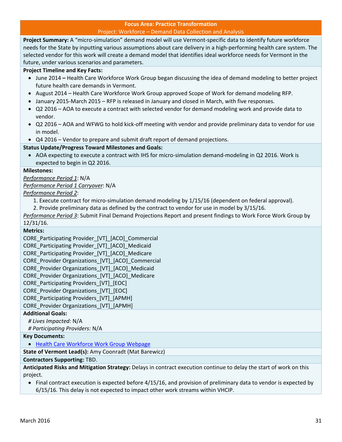### **Focus Area: Practice Transformation** Project: Workforce – Demand Data Collection and Analysis

**Project Summary:** A "micro‐simulation" demand model will use Vermont‐specific data to identify future workforce needs for the State by inputting various assumptions about care delivery in a high‐performing health care system. The selected vendor for this work will create a demand model that identifies ideal workforce needs for Vermont in the future, under various scenarios and parameters.

# **Project Timeline and Key Facts:**

- June 2014 **–** Health Care Workforce Work Group began discussing the idea of demand modeling to better project future health care demands in Vermont.
- August 2014 Health Care Workforce Work Group approved Scope of Work for demand modeling RFP.
- January 2015-March 2015 RFP is released in January and closed in March, with five responses.
- Q2 2016 AOA to execute a contract with selected vendor for demand modeling work and provide data to vendor.
- Q2 2016 AOA and WFWG to hold kick-off meeting with vendor and provide preliminary data to vendor for use in model.
- Q4 2016 Vendor to prepare and submit draft report of demand projections.

# **Status Update/Progress Toward Milestones and Goals:**

● AOA expecting to execute a contract with IHS for micro-simulation demand-modeling in Q2 2016. Work is expected to begin in Q2 2016.

#### **Milestones:**

*Performance Period 1*: N/A

*Performance Period 1 Carryover*: N/A

*Performance Period 2*:

- 1. Execute contract for micro‐simulation demand modeling by 1/15/16 (dependent on federal approval).
- 2. Provide preliminary data as defined by the contract to vendor for use in model by 3/15/16.

*Performance Period 3*: Submit Final Demand Projections Report and present findings to Work Force Work Group by 12/31/16.

#### **Metrics:**

CORE\_Participating Provider\_[VT]\_[ACO]\_Commercial CORE\_Participating Provider\_[VT]\_[ACO]\_Medicaid CORE\_Participating Provider\_[VT]\_[ACO]\_Medicare CORE\_Provider Organizations\_[VT]\_[ACO]\_Commercial CORE\_Provider Organizations\_[VT]\_[ACO]\_Medicaid CORE\_Provider Organizations\_[VT]\_[ACO]\_Medicare CORE Participating Providers [VT] [EOC] CORE Provider Organizations [VT] [EOC] CORE\_Participating Providers\_[VT]\_[APMH] CORE\_Provider Organizations\_[VT]\_[APMH]

# **Additional Goals:**

*# Lives Impacted:* N/A

*# Participating Providers:* N/A

#### **Key Documents:**

Health Care Workforce Work Group Webpage

**State of Vermont Lead(s):** Amy Coonradt (Mat Barewicz)

#### **Contractors Supporting:** TBD.

**Anticipated Risks and Mitigation Strategy:** Delays in contract execution continue to delay the start of work on this project.

 Final contract execution is expected before 4/15/16, and provision of preliminary data to vendor is expected by 6/15/16. This delay is not expected to impact other work streams within VHCIP.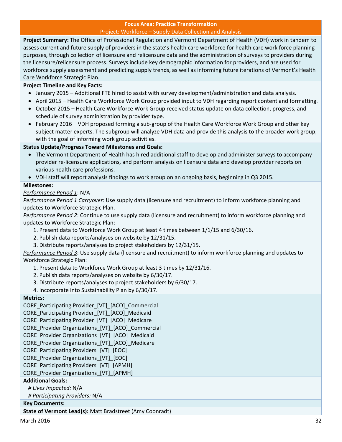### **Focus Area: Practice Transformation** Project: Workforce – Supply Data Collection and Analysis

**Project Summary:** The Office of Professional Regulation and Vermont Department of Health (VDH) work in tandem to assess current and future supply of providers in the state's health care workforce for health care work force planning purposes, through collection of licensure and relicensure data and the administration of surveys to providers during the licensure/relicensure process. Surveys include key demographic information for providers, and are used for workforce supply assessment and predicting supply trends, as well as informing future iterations of Vermont's Health Care Workforce Strategic Plan.

# **Project Timeline and Key Facts:**

- January 2015 Additional FTE hired to assist with survey development/administration and data analysis.
- April 2015 Health Care Workforce Work Group provided input to VDH regarding report content and formatting.
- October 2015 Health Care Workforce Work Group received status update on data collection, progress, and schedule of survey administration by provider type.
- February 2016 VDH proposed forming a sub-group of the Health Care Workforce Work Group and other key subject matter experts. The subgroup will analyze VDH data and provide this analysis to the broader work group, with the goal of informing work group activities.

# **Status Update/Progress Toward Milestones and Goals:**

- The Vermont Department of Health has hired additional staff to develop and administer surveys to accompany provider re‐licensure applications, and perform analysis on licensure data and develop provider reports on various health care professions.
- VDH staff will report analysis findings to work group on an ongoing basis, beginning in Q3 2015.

# **Milestones:**

# *Performance Period 1*: N/A

*Performance Period 1 Carryover*: Use supply data (licensure and recruitment) to inform workforce planning and updates to Workforce Strategic Plan.

*Performance Period 2*: Continue to use supply data (licensure and recruitment) to inform workforce planning and updates to Workforce Strategic Plan:

- 1. Present data to Workforce Work Group at least 4 times between 1/1/15 and 6/30/16.
- 2. Publish data reports/analyses on website by 12/31/15.
- 3. Distribute reports/analyses to project stakeholders by 12/31/15.

*Performance Period 3*: Use supply data (licensure and recruitment) to inform workforce planning and updates to Workforce Strategic Plan:

1. Present data to Workforce Work Group at least 3 times by 12/31/16.

- 2. Publish data reports/analyses on website by 6/30/17.
- 3. Distribute reports/analyses to project stakeholders by 6/30/17.
- 4. Incorporate into Sustainability Plan by 6/30/17.

# **Metrics:**

- CORE Participating Provider [VT] [ACO] Commercial
- CORE\_Participating Provider\_[VT]\_[ACO]\_Medicaid
- CORE\_Participating Provider\_[VT]\_[ACO]\_Medicare
- CORE\_Provider Organizations\_[VT]\_[ACO]\_Commercial
- CORE Provider Organizations [VT] [ACO] Medicaid
- CORE\_Provider Organizations\_[VT]\_[ACO]\_Medicare
- CORE Participating Providers [VT] [EOC]
- CORE\_Provider Organizations\_[VT]\_[EOC]
- CORE\_Participating Providers\_[VT]\_[APMH]

CORE\_Provider Organizations\_[VT]\_[APMH]

# **Additional Goals:**

*# Lives Impacted:* N/A

*# Participating Providers:* N/A

# **Key Documents:**

**State of Vermont Lead(s):** Matt Bradstreet (Amy Coonradt)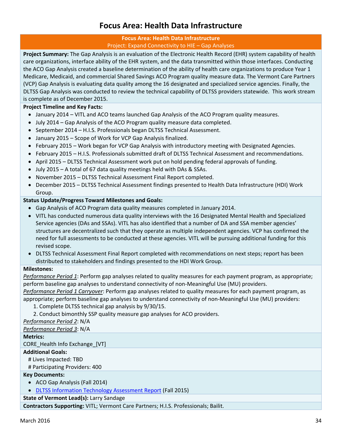# **Focus Area: Health Data Infrastructure**

# **Focus Area: Health Data Infrastructure** Project: Expand Connectivity to HIE – Gap Analyses

**Project Summary:** The Gap Analysis is an evaluation of the Electronic Health Record (EHR) system capability of health care organizations, interface ability of the EHR system, and the data transmitted within those interfaces. Conducting the ACO Gap Analysis created a baseline determination of the ability of health care organizations to produce Year 1 Medicare, Medicaid, and commercial Shared Savings ACO Program quality measure data. The Vermont Care Partners (VCP) Gap Analysis is evaluating data quality among the 16 designated and specialized service agencies. Finally, the DLTSS Gap Analysis was conducted to review the technical capability of DLTSS providers statewide. This work stream is complete as of December 2015.

# **Project Timeline and Key Facts:**

- January 2014 VITL and ACO teams launched Gap Analysis of the ACO Program quality measures.
- July 2014 Gap Analysis of the ACO Program quality measure data completed.
- September 2014 H.I.S. Professionals began DLTSS Technical Assessment.
- January 2015 Scope of Work for VCP Gap Analysis finalized.
- February 2015 Work began for VCP Gap Analysis with introductory meeting with Designated Agencies.
- February 2015 H.I.S. Professionals submitted draft of DLTSS Technical Assessment and recommendations.
- April 2015 DLTSS Technical Assessment work put on hold pending federal approvals of funding.
- July 2015 A total of 67 data quality meetings held with DAs & SSAs.
- November 2015 DLTSS Technical Assessment Final Report completed.
- December 2015 DLTSS Technical Assessment findings presented to Health Data Infrastructure (HDI) Work Group.

# **Status Update/Progress Toward Milestones and Goals:**

- Gap Analysis of ACO Program data quality measures completed in January 2014.
- VITL has conducted numerous data quality interviews with the 16 Designated Mental Health and Specialized Service agencies (DAs and SSAs). VITL has also identified that a number of DA and SSA member agencies' structures are decentralized such that they operate as multiple independent agencies. VCP has confirmed the need for full assessments to be conducted at these agencies. VITL will be pursuing additional funding for this revised scope.
- DLTSS Technical Assessment Final Report completed with recommendations on next steps; report has been distributed to stakeholders and findings presented to the HDI Work Group.

# **Milestones:**

*Performance Period 1*: Perform gap analyses related to quality measures for each payment program, as appropriate; perform baseline gap analyses to understand connectivity of non‐Meaningful Use (MU) providers.

*Performance Period 1 Carryover*: Perform gap analyses related to quality measures for each payment program, as appropriate; perform baseline gap analyses to understand connectivity of non‐Meaningful Use (MU) providers:

- 1. Complete DLTSS technical gap analysis by 9/30/15.
- 2. Conduct bimonthly SSP quality measure gap analyses for ACO providers.

*Performance Period 2*: N/A

*Performance Period 3*: N/A

# **Metrics:**

CORE\_Health Info Exchange\_[VT]

# **Additional Goals:**

# Lives Impacted: TBD

# Participating Providers: 400

# **Key Documents:**

- ACO Gap Analysis (Fall 2014)
- DLTSS Information Technology Assessment Report (Fall 2015)

**State of Vermont Lead(s):** Larry Sandage

**Contractors Supporting:** VITL; Vermont Care Partners; H.I.S. Professionals; Bailit.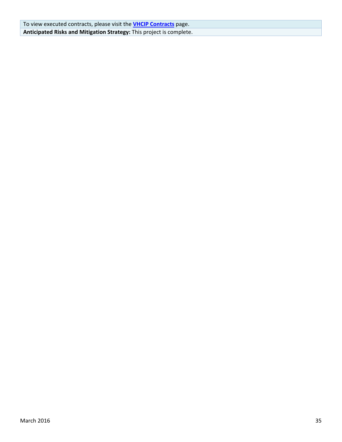To view executed contracts, please visit the **VHCIP Contracts** page. **Anticipated Risks and Mitigation Strategy:** This project is complete.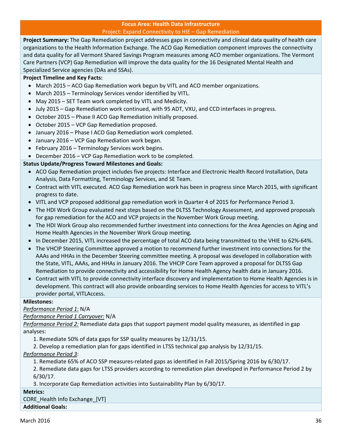### **Focus Area: Health Data Infrastructure** Project: Expand Connectivity to HIE – Gap Remediation

**Project Summary:** The Gap Remediation project addresses gaps in connectivity and clinical data quality of health care organizations to the Health Information Exchange. The ACO Gap Remediation component improves the connectivity and data quality for all Vermont Shared Savings Program measures among ACO member organizations. The Vermont Care Partners (VCP) Gap Remediation will improve the data quality for the 16 Designated Mental Health and Specialized Service agencies (DAs and SSAs).

# **Project Timeline and Key Facts:**

- March 2015 ACO Gap Remediation work begun by VITL and ACO member organizations.
- March 2015 Terminology Services vendor identified by VITL.
- May 2015 SET Team work completed by VITL and Medicity.
- July 2015 Gap Remediation work continued, with 95 ADT, VXU, and CCD interfaces in progress.
- October 2015 Phase II ACO Gap Remediation initially proposed.
- October 2015 VCP Gap Remediation proposed.
- January 2016 Phase I ACO Gap Remediation work completed.
- January 2016 VCP Gap Remediation work began.
- February 2016 Terminology Services work begins.
- December 2016 VCP Gap Remediation work to be completed.

# **Status Update/Progress Toward Milestones and Goals:**

- ACO Gap Remediation project includes five projects: Interface and Electronic Health Record Installation, Data Analysis, Data Formatting, Terminology Services, and SE Team.
- Contract with VITL executed. ACO Gap Remediation work has been in progress since March 2015, with significant progress to date.
- VITL and VCP proposed additional gap remediation work in Quarter 4 of 2015 for Performance Period 3.
- The HDI Work Group evaluated next steps based on the DLTSS Technology Assessment, and approved proposals for gap remediation for the ACO and VCP projects in the November Work Group meeting.
- The HDI Work Group also recommended further investment into connections for the Area Agencies on Aging and Home Health Agencies in the November Work Group meeting.
- In December 2015, VITL increased the percentage of total ACO data being transmitted to the VHIE to 62%‐64%.
- The VHCIP Steering Committee approved a motion to recommend further investment into connections for the AAAs and HHAs in the December Steering committee meeting. A proposal was developed in collaboration with the State, VITL, AAAs, and HHAs in January 2016. The VHCIP Core Team approved a proposal for DLTSS Gap Remediation to provide connectivity and accessibility for Home Health Agency health data in January 2016.
- Contract with VITL to provide connectivity interface discovery and implementation to Home Health Agencies is in development. This contract will also provide onboarding services to Home Health Agencies for access to VITL's provider portal, VITLAccess.

#### **Milestones:**

*Performance Period 1:* N/A

*Performance Period 1 Carryover:* N/A

*Performance Period 2:* Remediate data gaps that support payment model quality measures, as identified in gap analyses:

1. Remediate 50% of data gaps for SSP quality measures by 12/31/15.

2. Develop a remediation plan for gaps identified in LTSS technical gap analysis by 12/31/15.

# *Performance Period 3*:

1. Remediate 65% of ACO SSP measures‐related gaps as identified in Fall 2015/Spring 2016 by 6/30/17.

2. Remediate data gaps for LTSS providers according to remediation plan developed in Performance Period 2 by 6/30/17.

3. Incorporate Gap Remediation activities into Sustainability Plan by 6/30/17.

# **Metrics:**

CORE\_Health Info Exchange\_[VT] **Additional Goals:**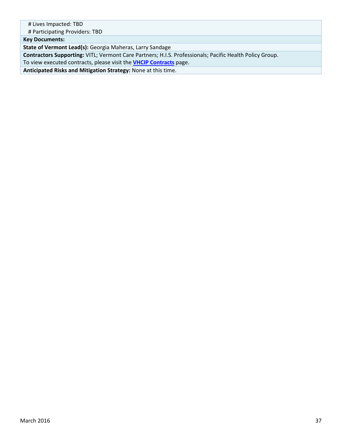| # Lives Impacted: TBD                                                                                   |
|---------------------------------------------------------------------------------------------------------|
| # Participating Providers: TBD                                                                          |
| <b>Key Documents:</b>                                                                                   |
| State of Vermont Lead(s): Georgia Maheras, Larry Sandage                                                |
| Contractors Supporting: VITL; Vermont Care Partners; H.I.S. Professionals; Pacific Health Policy Group. |
| To view executed contracts, please visit the <b>VHCIP Contracts</b> page.                               |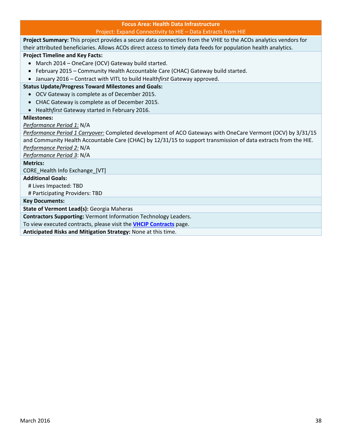#### **Focus Area: Health Data Infrastructure** Project: Expand Connectivity to HIE – Data Extracts from HIE

**Project Summary:** This project provides a secure data connection from the VHIE to the ACOs analytics vendors for their attributed beneficiaries. Allows ACOs direct access to timely data feeds for population health analytics.

**Project Timeline and Key Facts:** 

- March 2014 OneCare (OCV) Gateway build started.
- February 2015 Community Health Accountable Care (CHAC) Gateway build started.
- January 2016 Contract with VITL to build Health*first* Gateway approved.

# **Status Update/Progress Toward Milestones and Goals:**

- OCV Gateway is complete as of December 2015.
- CHAC Gateway is complete as of December 2015.
- Health*first* Gateway started in February 2016.

# **Milestones:**

# *Performance Period 1:* N/A

*Performance Period 1 Carryover:* Completed development of ACO Gateways with OneCare Vermont (OCV) by 3/31/15 and Community Health Accountable Care (CHAC) by 12/31/15 to support transmission of data extracts from the HIE. *Performance Period 2:* N/A

*Performance Period 3*: N/A

**Metrics:**

CORE\_Health Info Exchange\_[VT]

**Additional Goals:**

# Lives Impacted: TBD

# Participating Providers: TBD

**Key Documents:**

**State of Vermont Lead(s):** Georgia Maheras

**Contractors Supporting:** Vermont Information Technology Leaders.

To view executed contracts, please visit the **VHCIP Contracts** page.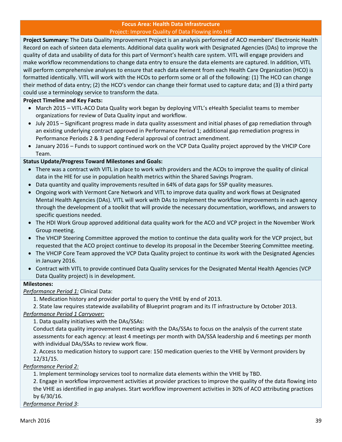#### **Focus Area: Health Data Infrastructure** Project: Improve Quality of Data Flowing into HIE

**Project Summary:** The Data Quality Improvement Project is an analysis performed of ACO members' Electronic Health Record on each of sixteen data elements. Additional data quality work with Designated Agencies (DAs) to improve the quality of data and usability of data for this part of Vermont's health care system. VITL will engage providers and make workflow recommendations to change data entry to ensure the data elements are captured. In addition, VITL will perform comprehensive analyses to ensure that each data element from each Health Care Organization (HCO) is formatted identically. VITL will work with the HCOs to perform some or all of the following: (1) The HCO can change their method of data entry; (2) the HCO's vendor can change their format used to capture data; and (3) a third party could use a terminology service to transform the data.

# **Project Timeline and Key Facts:**

- March 2015 *–* VITL‐ACO Data Quality work began by deploying VITL's eHealth Specialist teams to member organizations for review of Data Quality input and workflow.
- July 2015 Significant progress made in data quality assessment and initial phases of gap remediation through an existing underlying contract approved in Performance Period 1; additional gap remediation progress in Performance Periods 2 & 3 pending Federal approval of contract amendment.
- January 2016 Funds to support continued work on the VCP Data Quality project approved by the VHCIP Core Team.

# **Status Update/Progress Toward Milestones and Goals:**

- There was a contract with VITL in place to work with providers and the ACOs to improve the quality of clinical data in the HIE for use in population health metrics within the Shared Savings Program.
- Data quantity and quality improvements resulted in 64% of data gaps for SSP quality measures.
- Ongoing work with Vermont Care Network and VITL to improve data quality and work flows at Designated Mental Health Agencies (DAs). VITL will work with DAs to implement the workflow improvements in each agency through the development of a toolkit that will provide the necessary documentation, workflows, and answers to specific questions needed.
- The HDI Work Group approved additional data quality work for the ACO and VCP project in the November Work Group meeting.
- The VHCIP Steering Committee approved the motion to continue the data quality work for the VCP project, but requested that the ACO project continue to develop its proposal in the December Steering Committee meeting.
- The VHCIP Core Team approved the VCP Data Quality project to continue its work with the Designated Agencies in January 2016.
- Contract with VITL to provide continued Data Quality services for the Designated Mental Health Agencies (VCP Data Quality project) is in development.

# **Milestones:**

*Performance Period 1:* Clinical Data:

1. Medication history and provider portal to query the VHIE by end of 2013.

2. State law requires statewide availability of Blueprint program and its IT infrastructure by October 2013.

# *Performance Period 1 Carryover:*

1. Data quality initiatives with the DAs/SSAs:

Conduct data quality improvement meetings with the DAs/SSAs to focus on the analysis of the current state assessments for each agency: at least 4 meetings per month with DA/SSA leadership and 6 meetings per month with individual DAs/SSAs to review work flow.

2. Access to medication history to support care: 150 medication queries to the VHIE by Vermont providers by 12/31/15.

# *Performance Period 2:*

1. Implement terminology services tool to normalize data elements within the VHIE by TBD.

2. Engage in workflow improvement activities at provider practices to improve the quality of the data flowing into the VHIE as identified in gap analyses. Start workflow improvement activities in 30% of ACO attributing practices by 6/30/16.

*Performance Period 3*: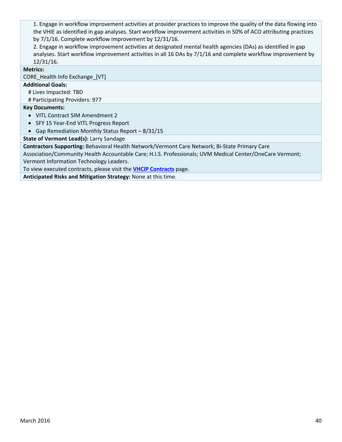1. Engage in workflow improvement activities at provider practices to improve the quality of the data flowing into the VHIE as identified in gap analyses. Start workflow improvement activities in 50% of ACO attributing practices by 7/1/16. Complete workflow improvement by 12/31/16.

2. Engage in workflow improvement activities at designated mental health agencies (DAs) as identified in gap analyses. Start workflow improvement activities in all 16 DAs by 7/1/16 and complete workflow improvement by 12/31/16.

# **Metrics:**

CORE\_Health Info Exchange\_[VT]

# **Additional Goals:**

# Lives Impacted: TBD

# Participating Providers: 977

# **Key Documents:**

- VITL Contract SIM Amendment 2
- SFY 15 Year-End VITL Progress Report
- Gap Remediation Monthly Status Report 8/31/15

**State of Vermont Lead(s):** Larry Sandage

**Contractors Supporting:** Behavioral Health Network/Vermont Care Network; Bi‐State Primary Care

Association/Community Health Accountable Care; H.I.S. Professionals; UVM Medical Center/OneCare Vermont; Vermont Information Technology Leaders.

To view executed contracts, please visit the **VHCIP Contracts** page.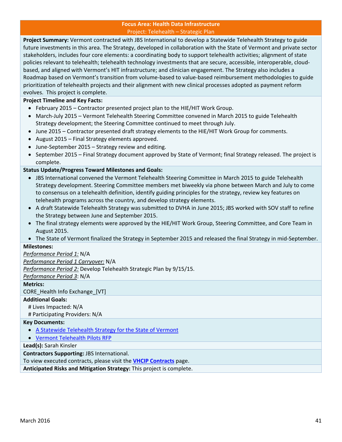#### **Focus Area: Health Data Infrastructure** Project: Telehealth – Strategic Plan

**Project Summary:** Vermont contracted with JBS International to develop a Statewide Telehealth Strategy to guide future investments in this area. The Strategy, developed in collaboration with the State of Vermont and private sector stakeholders, includes four core elements: a coordinating body to support telehealth activities; alignment of state policies relevant to telehealth; telehealth technology investments that are secure, accessible, interoperable, cloud‐ based, and aligned with Vermont's HIT infrastructure; and clinician engagement. The Strategy also includes a Roadmap based on Vermont's transition from volume‐based to value‐based reimbursement methodologies to guide prioritization of telehealth projects and their alignment with new clinical processes adopted as payment reform evolves. This project is complete.

# **Project Timeline and Key Facts:**

- February 2015 Contractor presented project plan to the HIE/HIT Work Group.
- March-July 2015 Vermont Telehealth Steering Committee convened in March 2015 to guide Telehealth Strategy development; the Steering Committee continued to meet through July.
- June 2015 Contractor presented draft strategy elements to the HIE/HIT Work Group for comments.
- August 2015 Final Strategy elements approved.
- June-September 2015 Strategy review and editing.
- September 2015 Final Strategy document approved by State of Vermont; final Strategy released. The project is complete.

# **Status Update/Progress Toward Milestones and Goals:**

- JBS International convened the Vermont Telehealth Steering Committee in March 2015 to guide Telehealth Strategy development. Steering Committee members met biweekly via phone between March and July to come to consensus on a telehealth definition, identify guiding principles for the strategy, review key features on telehealth programs across the country, and develop strategy elements.
- A draft Statewide Telehealth Strategy was submitted to DVHA in June 2015; JBS worked with SOV staff to refine the Strategy between June and September 2015.
- The final strategy elements were approved by the HIE/HIT Work Group, Steering Committee, and Core Team in August 2015.
- The State of Vermont finalized the Strategy in September 2015 and released the final Strategy in mid‐September.

# **Milestones:**

# *Performance Period 1:* N/A

*Performance Period 1 Carryover:* N/A

*Performance Period 2:* Develop Telehealth Strategic Plan by 9/15/15.

*Performance Period 3*: N/A

# **Metrics:**

CORE\_Health Info Exchange\_[VT]

# **Additional Goals:**

# Lives Impacted: N/A

# Participating Providers: N/A

# **Key Documents:**

- A Statewide Telehealth Strategy for the State of Vermont
- Vermont Telehealth Pilots RFP

# **Lead(s):** Sarah Kinsler

**Contractors Supporting:** JBS International.

To view executed contracts, please visit the **VHCIP Contracts** page.

**Anticipated Risks and Mitigation Strategy:** This project is complete.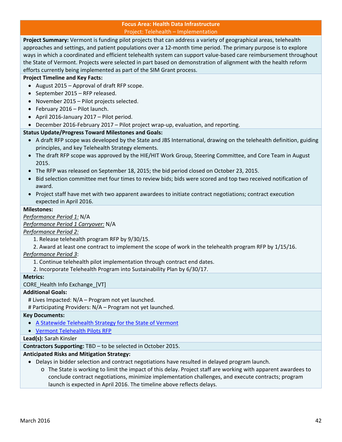#### **Focus Area: Health Data Infrastructure** Project: Telehealth – Implementation

**Project Summary:** Vermont is funding pilot projects that can address a variety of geographical areas, telehealth approaches and settings, and patient populations over a 12‐month time period. The primary purpose is to explore ways in which a coordinated and efficient telehealth system can support value‐based care reimbursement throughout the State of Vermont. Projects were selected in part based on demonstration of alignment with the health reform efforts currently being implemented as part of the SIM Grant process.

# **Project Timeline and Key Facts:**

- August 2015 Approval of draft RFP scope.
- September 2015 RFP released.
- November 2015 Pilot projects selected.
- February 2016 Pilot launch.
- April 2016‐January 2017 Pilot period.
- December 2016-February 2017 Pilot project wrap-up, evaluation, and reporting.

# **Status Update/Progress Toward Milestones and Goals:**

- A draft RFP scope was developed by the State and JBS International, drawing on the telehealth definition, guiding principles, and key Telehealth Strategy elements.
- The draft RFP scope was approved by the HIE/HIT Work Group, Steering Committee, and Core Team in August 2015.
- The RFP was released on September 18, 2015; the bid period closed on October 23, 2015.
- Bid selection committee met four times to review bids; bids were scored and top two received notification of award.
- Project staff have met with two apparent awardees to initiate contract negotiations; contract execution expected in April 2016.

#### **Milestones:**

*Performance Period 1:* N/A

*Performance Period 1 Carryover:* N/A

*Performance Period 2:*

- 1. Release telehealth program RFP by 9/30/15.
- 2. Award at least one contract to implement the scope of work in the telehealth program RFP by 1/15/16.

# *Performance Period 3*:

- 1. Continue telehealth pilot implementation through contract end dates.
- 2. Incorporate Telehealth Program into Sustainability Plan by 6/30/17.

# **Metrics:**

CORE\_Health Info Exchange\_[VT]

# **Additional Goals:**

# Lives Impacted: N/A – Program not yet launched.

# Participating Providers: N/A – Program not yet launched.

#### **Key Documents:**

- A Statewide Telehealth Strategy for the State of Vermont
- Vermont Telehealth Pilots RFP

# **Lead(s):** Sarah Kinsler

# **Contractors Supporting:** TBD – to be selected in October 2015.

# **Anticipated Risks and Mitigation Strategy:**

- Delays in bidder selection and contract negotiations have resulted in delayed program launch.
	- o The State is working to limit the impact of this delay. Project staff are working with apparent awardees to conclude contract negotiations, minimize implementation challenges, and execute contracts; program launch is expected in April 2016. The timeline above reflects delays.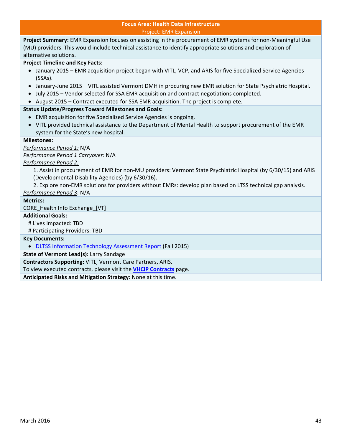#### **Focus Area: Health Data Infrastructure** Project: EMR Expansion

**Project Summary:** EMR Expansion focuses on assisting in the procurement of EMR systems for non‐Meaningful Use (MU) providers. This would include technical assistance to identify appropriate solutions and exploration of alternative solutions.

# **Project Timeline and Key Facts:**

- January 2015 EMR acquisition project began with VITL, VCP, and ARIS for five Specialized Service Agencies (SSAs).
- January-June 2015 VITL assisted Vermont DMH in procuring new EMR solution for State Psychiatric Hospital.
- July 2015 Vendor selected for SSA EMR acquisition and contract negotiations completed.
- August 2015 Contract executed for SSA EMR acquisition. The project is complete.

# **Status Update/Progress Toward Milestones and Goals:**

- EMR acquisition for five Specialized Service Agencies is ongoing.
- VITL provided technical assistance to the Department of Mental Health to support procurement of the EMR system for the State's new hospital.

# **Milestones:**

# *Performance Period 1:* N/A

*Performance Period 1 Carryover:* N/A

# *Performance Period 2:*

1. Assist in procurement of EMR for non‐MU providers: Vermont State Psychiatric Hospital (by 6/30/15) and ARIS (Developmental Disability Agencies) (by 6/30/16).

2. Explore non‐EMR solutions for providers without EMRs: develop plan based on LTSS technical gap analysis.

# *Performance Period 3*: N/A

# **Metrics:**

CORE\_Health Info Exchange\_[VT]

# **Additional Goals:**

# Lives Impacted: TBD

# Participating Providers: TBD

# **Key Documents:**

DLTSS Information Technology Assessment Report (Fall 2015)

# **State of Vermont Lead(s):** Larry Sandage

**Contractors Supporting:** VITL, Vermont Care Partners, ARIS.

To view executed contracts, please visit the **VHCIP Contracts** page.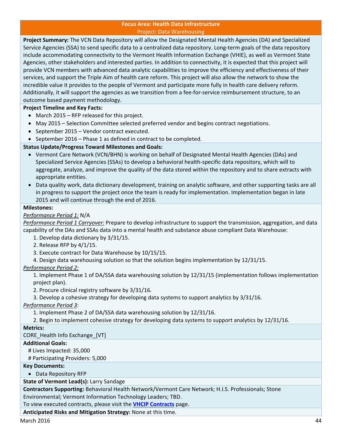#### **Focus Area: Health Data Infrastructure** Project: Data Warehousing

**Project Summary:** The VCN Data Repository will allow the Designated Mental Health Agencies (DA) and Specialized Service Agencies (SSA) to send specific data to a centralized data repository. Long-term goals of the data repository include accommodating connectivity to the Vermont Health Information Exchange (VHIE), as well as Vermont State Agencies, other stakeholders and interested parties. In addition to connectivity, it is expected that this project will provide VCN members with advanced data analytic capabilities to improve the efficiency and effectiveness of their services, and support the Triple Aim of health care reform. This project will also allow the network to show the incredible value it provides to the people of Vermont and participate more fully in health care delivery reform. Additionally, it will support the agencies as we transition from a fee-for-service reimbursement structure, to an outcome based payment methodology.

# **Project Timeline and Key Facts:**

- March 2015 RFP released for this project.
- May 2015 Selection Committee selected preferred vendor and begins contract negotiations.
- September 2015 Vendor contract executed.
- September 2016 Phase 1 as defined in contract to be completed.

# **Status Update/Progress Toward Milestones and Goals:**

- Vermont Care Network (VCN/BHN) is working on behalf of Designated Mental Health Agencies (DAs) and Specialized Service Agencies (SSAs) to develop a behavioral health‐specific data repository, which will to aggregate, analyze, and improve the quality of the data stored within the repository and to share extracts with appropriate entities.
- Data quality work, data dictionary development, training on analytic software, and other supporting tasks are all in progress to support the project once the team is ready for implementation. Implementation began in late 2015 and will continue through the end of 2016.

# **Milestones:**

# *Performance Period 1:* N/A

*Performance Period 1 Carryover:* Prepare to develop infrastructure to support the transmission, aggregation, and data capability of the DAs and SSAs data into a mental health and substance abuse compliant Data Warehouse:

- 1. Develop data dictionary by 3/31/15.
- 2. Release RFP by 4/1/15.
- 3. Execute contract for Data Warehouse by 10/15/15.
- 4. Design data warehousing solution so that the solution begins implementation by 12/31/15.

# *Performance Period 2:*

1. Implement Phase 1 of DA/SSA data warehousing solution by 12/31/15 (implementation follows implementation project plan).

2. Procure clinical registry software by 3/31/16.

3. Develop a cohesive strategy for developing data systems to support analytics by 3/31/16.

# *Performance Period 3*:

1. Implement Phase 2 of DA/SSA data warehousing solution by 12/31/16.

2. Begin to implement cohesive strategy for developing data systems to support analytics by 12/31/16.

# **Metrics:**

CORE Health Info Exchange [VT]

# **Additional Goals:**

# Lives Impacted: 35,000

# Participating Providers: 5,000

# **Key Documents:**

Data Repository RFP

# **State of Vermont Lead(s):** Larry Sandage

**Contractors Supporting:** Behavioral Health Network/Vermont Care Network; H.I.S. Professionals; Stone Environmental; Vermont Information Technology Leaders; TBD.

#### To view executed contracts, please visit the **VHCIP Contracts** page.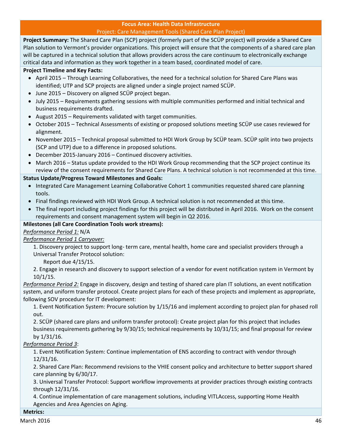# **Focus Area: Health Data Infrastructure** Project: Care Management Tools (Shared Care Plan Project)

**Project Summary:** The Shared Care Plan (SCP) project (formerly part of the SCÜP project) will provide a Shared Care Plan solution to Vermont's provider organizations. This project will ensure that the components of a shared care plan will be captured in a technical solution that allows providers across the care continuum to electronically exchange critical data and information as they work together in a team based, coordinated model of care.

# **Project Timeline and Key Facts:**

- April 2015 Through Learning Collaboratives, the need for a technical solution for Shared Care Plans was identified; UTP and SCP projects are aligned under a single project named SCÜP.
- June 2015 Discovery on aligned SCÜP project began.
- July 2015 Requirements gathering sessions with multiple communities performed and initial technical and business requirements drafted.
- August 2015 Requirements validated with target communities.
- October 2015 Technical Assessments of existing or proposed solutions meeting SCÜP use cases reviewed for alignment.
- November 2015 Technical proposal submitted to HDI Work Group by SCÜP team. SCÜP split into two projects (SCP and UTP) due to a difference in proposed solutions.
- December 2015‐January 2016 Continued discovery activities.
- March 2016 Status update provided to the HDI Work Group recommending that the SCP project continue its review of the consent requirements for Shared Care Plans. A technical solution is not recommended at this time.

# **Status Update/Progress Toward Milestones and Goals:**

- Integrated Care Management Learning Collaborative Cohort 1 communities requested shared care planning tools.
- Final findings reviewed with HDI Work Group. A technical solution is not recommended at this time.
- The final report including project findings for this project will be distributed in April 2016. Work on the consent requirements and consent management system will begin in Q2 2016.

# **Milestones (all Care Coordination Tools work streams):**

*Performance Period 1:* N/A

*Performance Period 1 Carryover:*

1. Discovery project to support long‐ term care, mental health, home care and specialist providers through a Universal Transfer Protocol solution:

Report due 4/15/15.

2. Engage in research and discovery to support selection of a vendor for event notification system in Vermont by 10/1/15.

*Performance Period 2:* Engage in discovery, design and testing of shared care plan IT solutions, an event notification system, and uniform transfer protocol. Create project plans for each of these projects and implement as appropriate, following SOV procedure for IT development:

1. Event Notification System: Procure solution by 1/15/16 and implement according to project plan for phased roll out.

2. SCÜP (shared care plans and uniform transfer protocol): Create project plan for this project that includes business requirements gathering by 9/30/15; technical requirements by 10/31/15; and final proposal for review by 1/31/16.

# *Performance Period 3*:

1. Event Notification System: Continue implementation of ENS according to contract with vendor through 12/31/16.

2. Shared Care Plan: Recommend revisions to the VHIE consent policy and architecture to better support shared care planning by 6/30/17.

3. Universal Transfer Protocol: Support workflow improvements at provider practices through existing contracts through 12/31/16.

4. Continue implementation of care management solutions, including VITLAccess, supporting Home Health Agencies and Area Agencies on Aging.

# **Metrics:**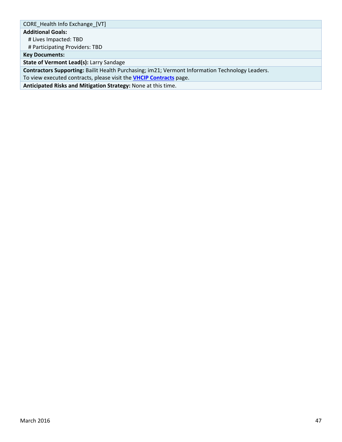CORE\_Health Info Exchange\_[VT]

**Additional Goals:**

# Lives Impacted: TBD

# Participating Providers: TBD

**Key Documents:**

**State of Vermont Lead(s):** Larry Sandage

**Contractors Supporting:** Bailit Health Purchasing; im21; Vermont Information Technology Leaders.

To view executed contracts, please visit the **VHCIP Contracts** page.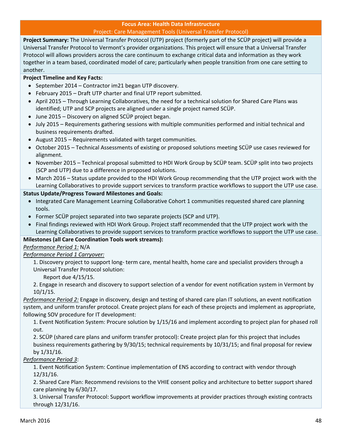#### **Focus Area: Health Data Infrastructure** Project: Care Management Tools (Universal Transfer Protocol)

**Project Summary:** The Universal Transfer Protocol (UTP) project (formerly part of the SCÜP project) will provide a Universal Transfer Protocol to Vermont's provider organizations. This project will ensure that a Universal Transfer Protocol will allows providers across the care continuum to exchange critical data and information as they work together in a team based, coordinated model of care; particularly when people transition from one care setting to another.

# **Project Timeline and Key Facts:**

- September 2014 Contractor im21 began UTP discovery.
- February 2015 Draft UTP charter and final UTP report submitted.
- April 2015 Through Learning Collaboratives, the need for a technical solution for Shared Care Plans was identified; UTP and SCP projects are aligned under a single project named SCÜP.
- June 2015 Discovery on aligned SCÜP project began.
- July 2015 Requirements gathering sessions with multiple communities performed and initial technical and business requirements drafted.
- August 2015 Requirements validated with target communities.
- October 2015 Technical Assessments of existing or proposed solutions meeting SCÜP use cases reviewed for alignment.
- November 2015 Technical proposal submitted to HDI Work Group by SCÜP team. SCÜP split into two projects (SCP and UTP) due to a difference in proposed solutions.
- March 2016 Status update provided to the HDI Work Group recommending that the UTP project work with the Learning Collaboratives to provide support services to transform practice workflows to support the UTP use case.

# **Status Update/Progress Toward Milestones and Goals:**

- Integrated Care Management Learning Collaborative Cohort 1 communities requested shared care planning tools.
- Former SCÜP project separated into two separate projects (SCP and UTP).
- Final findings reviewed with HDI Work Group. Project staff recommended that the UTP project work with the Learning Collaboratives to provide support services to transform practice workflows to support the UTP use case.

# **Milestones (all Care Coordination Tools work streams):**

*Performance Period 1:* N/A

*Performance Period 1 Carryover:*

1. Discovery project to support long‐ term care, mental health, home care and specialist providers through a Universal Transfer Protocol solution:

Report due 4/15/15.

2. Engage in research and discovery to support selection of a vendor for event notification system in Vermont by 10/1/15.

*Performance Period 2:* Engage in discovery, design and testing of shared care plan IT solutions, an event notification system, and uniform transfer protocol. Create project plans for each of these projects and implement as appropriate, following SOV procedure for IT development:

1. Event Notification System: Procure solution by 1/15/16 and implement according to project plan for phased roll out.

2. SCÜP (shared care plans and uniform transfer protocol): Create project plan for this project that includes business requirements gathering by 9/30/15; technical requirements by 10/31/15; and final proposal for review by 1/31/16.

# *Performance Period 3*:

1. Event Notification System: Continue implementation of ENS according to contract with vendor through 12/31/16.

2. Shared Care Plan: Recommend revisions to the VHIE consent policy and architecture to better support shared care planning by 6/30/17.

3. Universal Transfer Protocol: Support workflow improvements at provider practices through existing contracts through 12/31/16.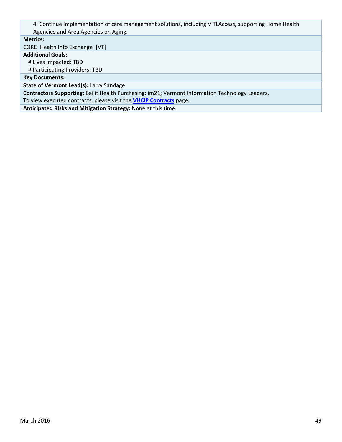4. Continue implementation of care management solutions, including VITLAccess, supporting Home Health Agencies and Area Agencies on Aging.

#### **Metrics:**

CORE\_Health Info Exchange\_[VT]

**Additional Goals:**

# Lives Impacted: TBD

# Participating Providers: TBD

**Key Documents:**

**State of Vermont Lead(s):** Larry Sandage

**Contractors Supporting:** Bailit Health Purchasing; im21; Vermont Information Technology Leaders.

To view executed contracts, please visit the **VHCIP Contracts** page.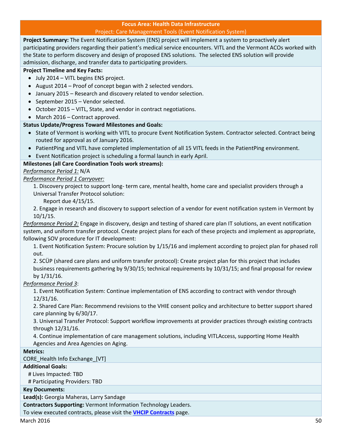### **Focus Area: Health Data Infrastructure** Project: Care Management Tools (Event Notification System)

**Project Summary:** The Event Notification System (ENS) project will implement a system to proactively alert participating providers regarding their patient's medical service encounters. VITL and the Vermont ACOs worked with the State to perform discovery and design of proposed ENS solutions. The selected ENS solution will provide admission, discharge, and transfer data to participating providers.

# **Project Timeline and Key Facts:**

- July 2014 VITL begins ENS project.
- August 2014 Proof of concept began with 2 selected vendors.
- January 2015 Research and discovery related to vendor selection.
- September 2015 Vendor selected.
- October 2015 VITL, State, and vendor in contract negotiations.
- March 2016 Contract approved.

# **Status Update/Progress Toward Milestones and Goals:**

- State of Vermont is working with VITL to procure Event Notification System. Contractor selected. Contract being routed for approval as of January 2016.
- PatientPing and VITL have completed implementation of all 15 VITL feeds in the PatientPing environment.
- Event Notification project is scheduling a formal launch in early April.

# **Milestones (all Care Coordination Tools work streams):**

*Performance Period 1:* N/A

# *Performance Period 1 Carryover:*

1. Discovery project to support long‐ term care, mental health, home care and specialist providers through a Universal Transfer Protocol solution:

Report due 4/15/15.

2. Engage in research and discovery to support selection of a vendor for event notification system in Vermont by 10/1/15.

*Performance Period 2:* Engage in discovery, design and testing of shared care plan IT solutions, an event notification system, and uniform transfer protocol. Create project plans for each of these projects and implement as appropriate, following SOV procedure for IT development:

1. Event Notification System: Procure solution by 1/15/16 and implement according to project plan for phased roll out.

2. SCÜP (shared care plans and uniform transfer protocol): Create project plan for this project that includes business requirements gathering by 9/30/15; technical requirements by 10/31/15; and final proposal for review by 1/31/16.

# *Performance Period 3*:

1. Event Notification System: Continue implementation of ENS according to contract with vendor through 12/31/16.

2. Shared Care Plan: Recommend revisions to the VHIE consent policy and architecture to better support shared care planning by 6/30/17.

3. Universal Transfer Protocol: Support workflow improvements at provider practices through existing contracts through 12/31/16.

4. Continue implementation of care management solutions, including VITLAccess, supporting Home Health Agencies and Area Agencies on Aging.

# **Metrics:**

CORE\_Health Info Exchange\_[VT]

# **Additional Goals:**

# Lives Impacted: TBD

# Participating Providers: TBD

# **Key Documents:**

**Lead(s):** Georgia Maheras, Larry Sandage

**Contractors Supporting:** Vermont Information Technology Leaders.

To view executed contracts, please visit the **VHCIP Contracts** page.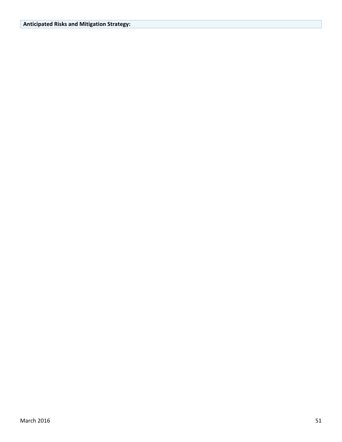# **Anticipated Risks and Mitigation Strategy:**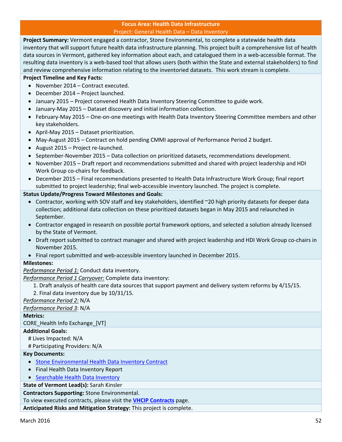#### **Focus Area: Health Data Infrastructure** Project: General Health Data – Data Inventory

**Project Summary:** Vermont engaged a contractor, Stone Environmental, to complete a statewide health data inventory that will support future health data infrastructure planning. This project built a comprehensive list of health data sources in Vermont, gathered key information about each, and catalogued them in a web-accessible format. The resulting data inventory is a web‐based tool that allows users (both within the State and external stakeholders) to find and review comprehensive information relating to the inventoried datasets. This work stream is complete.

# **Project Timeline and Key Facts:**

- November 2014 Contract executed.
- December 2014 Project launched.
- January 2015 Project convened Health Data Inventory Steering Committee to guide work.
- January‐May 2015 Dataset discovery and initial information collection.
- February-May 2015 One-on-one meetings with Health Data Inventory Steering Committee members and other key stakeholders.
- April-May 2015 Dataset prioritization.
- May-August 2015 Contract on hold pending CMMI approval of Performance Period 2 budget.
- August 2015 Project re-launched.
- September-November 2015 Data collection on prioritized datasets, recommendations development.
- November 2015 Draft report and recommendations submitted and shared with project leadership and HDI Work Group co-chairs for feedback.
- December 2015 Final recommendations presented to Health Data Infrastructure Work Group; final report submitted to project leadership; final web-accessible inventory launched. The project is complete.

# **Status Update/Progress Toward Milestones and Goals:**

- Contractor, working with SOV staff and key stakeholders, identified ~20 high priority datasets for deeper data collection; additional data collection on these prioritized datasets began in May 2015 and relaunched in September.
- Contractor engaged in research on possible portal framework options, and selected a solution already licensed by the State of Vermont.
- Draft report submitted to contract manager and shared with project leadership and HDI Work Group co-chairs in November 2015.
- Final report submitted and web-accessible inventory launched in December 2015.

# **Milestones:**

*Performance Period 1:* Conduct data inventory.

*Performance Period 1 Carryover:* Complete data inventory:

- 1. Draft analysis of health care data sources that support payment and delivery system reforms by 4/15/15.
- 2. Final data inventory due by 10/31/15.
- *Performance Period 2:* N/A

*Performance Period 3*: N/A

# **Metrics:**

CORE\_Health Info Exchange\_[VT]

# **Additional Goals:**

# Lives Impacted: N/A

# Participating Providers: N/A

# **Key Documents:**

- Stone Environmental Health Data Inventory Contract
- Final Health Data Inventory Report
- Searchable Health Data Inventory

# **State of Vermont Lead(s):** Sarah Kinsler

**Contractors Supporting:** Stone Environmental.

To view executed contracts, please visit the **VHCIP Contracts** page.

**Anticipated Risks and Mitigation Strategy:** This project is complete.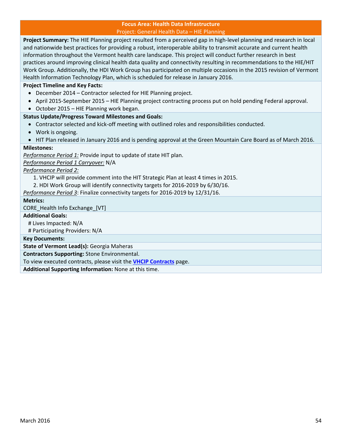#### **Focus Area: Health Data Infrastructure** Project: General Health Data – HIE Planning

**Project Summary:** The HIE Planning project resulted from a perceived gap in high-level planning and research in local and nationwide best practices for providing a robust, interoperable ability to transmit accurate and current health information throughout the Vermont health care landscape. This project will conduct further research in best practices around improving clinical health data quality and connectivity resulting in recommendations to the HIE/HIT Work Group. Additionally, the HDI Work Group has participated on multiple occasions in the 2015 revision of Vermont Health Information Technology Plan, which is scheduled for release in January 2016.

# **Project Timeline and Key Facts:**

- December 2014 Contractor selected for HIE Planning project.
- April 2015-September 2015 HIE Planning project contracting process put on hold pending Federal approval.
- October 2015 HIE Planning work began.

# **Status Update/Progress Toward Milestones and Goals:**

- Contractor selected and kick-off meeting with outlined roles and responsibilities conducted.
- Work is ongoing.
- HIT Plan released in January 2016 and is pending approval at the Green Mountain Care Board as of March 2016.

# **Milestones:**

*Performance Period 1:* Provide input to update of state HIT plan.

*Performance Period 1 Carryover:* N/A

*Performance Period 2:* 

- 1. VHCIP will provide comment into the HIT Strategic Plan at least 4 times in 2015.
- 2. HDI Work Group will identify connectivity targets for 2016‐2019 by 6/30/16.

*Performance Period 3*: Finalize connectivity targets for 2016‐2019 by 12/31/16.

#### **Metrics:**

CORE\_Health Info Exchange\_[VT]

#### **Additional Goals:**

# Lives Impacted: N/A

# Participating Providers: N/A

**Key Documents:**

**State of Vermont Lead(s):** Georgia Maheras

**Contractors Supporting:** Stone Environmental.

To view executed contracts, please visit the **VHCIP Contracts** page.

**Additional Supporting Information:** None at this time.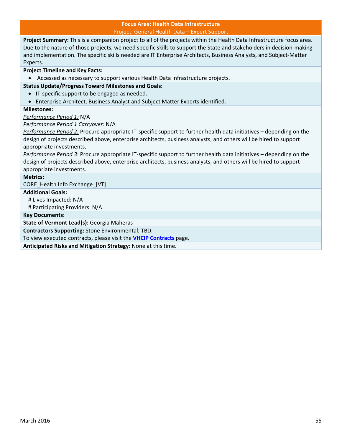#### **Focus Area: Health Data Infrastructure** Project: General Health Data – Expert Support

**Project Summary:** This is a companion project to all of the projects within the Health Data Infrastructure focus area. Due to the nature of those projects, we need specific skills to support the State and stakeholders in decision-making and implementation. The specific skills needed are IT Enterprise Architects, Business Analysts, and Subject‐Matter Experts.

#### **Project Timeline and Key Facts:**

Accessed as necessary to support various Health Data Infrastructure projects.

# **Status Update/Progress Toward Milestones and Goals:**

- IT-specific support to be engaged as needed.
- Enterprise Architect, Business Analyst and Subject Matter Experts identified.

### **Milestones:**

#### *Performance Period 1:* N/A

*Performance Period 1 Carryover:* N/A

*Performance Period 2:* Procure appropriate IT‐specific support to further health data initiatives – depending on the design of projects described above, enterprise architects, business analysts, and others will be hired to support appropriate investments.

*Performance Period 3*: Procure appropriate IT‐specific support to further health data initiatives – depending on the design of projects described above, enterprise architects, business analysts, and others will be hired to support appropriate investments.

# **Metrics:**

CORE Health Info Exchange [VT]

# **Additional Goals:**

# Lives Impacted: N/A

# Participating Providers: N/A

**Key Documents:**

**State of Vermont Lead(s):** Georgia Maheras

**Contractors Supporting:** Stone Environmental; TBD.

To view executed contracts, please visit the **VHCIP Contracts** page.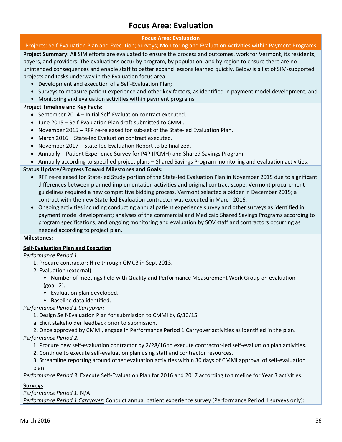# **Focus Area: Evaluation**

# **Focus Area: Evaluation**

# Projects: Self‐Evaluation Plan and Execution; Surveys; Monitoring and Evaluation Activities within Payment Programs

**Project Summary:** All SIM efforts are evaluated to ensure the process and outcomes, work for Vermont, its residents, payers, and providers. The evaluations occur by program, by population, and by region to ensure there are no unintended consequences and enable staff to better expand lessons learned quickly. Below is a list of SIM‐supported projects and tasks underway in the Evaluation focus area:

- Development and execution of a Self‐Evaluation Plan;
- Surveys to measure patient experience and other key factors, as identified in payment model development; and
- Monitoring and evaluation activities within payment programs.

# **Project Timeline and Key Facts:**

- September 2014 Initial Self-Evaluation contract executed.
- June 2015 Self-Evaluation Plan draft submitted to CMMI.
- November 2015 RFP re-released for sub-set of the State-led Evaluation Plan.
- March 2016 State-led Evaluation contract executed.
- November 2017 State-led Evaluation Report to be finalized.
- Annually Patient Experience Survey for P4P (PCMH) and Shared Savings Program.
- Annually according to specified project plans Shared Savings Program monitoring and evaluation activities.

# **Status Update/Progress Toward Milestones and Goals:**

- RFP re-released for State-led Study portion of the State-led Evaluation Plan in November 2015 due to significant differences between planned implementation activities and original contract scope; Vermont procurement guidelines required a new competitive bidding process. Vermont selected a bidder in December 2015; a contract with the new State‐led Evaluation contractor was executed in March 2016.
- Ongoing activities including conducting annual patient experience survey and other surveys as identified in payment model development; analyses of the commercial and Medicaid Shared Savings Programs according to program specifications, and ongoing monitoring and evaluation by SOV staff and contractors occurring as needed according to project plan.

# **Milestones:**

# **Self‐Evaluation Plan and Execution**

# *Performance Period 1:*

- 1. Procure contractor: Hire through GMCB in Sept 2013.
- 2. Evaluation (external):
	- Number of meetings held with Quality and Performance Measurement Work Group on evaluation (goal=2).
	- Evaluation plan developed.
	- Baseline data identified.

# *Performance Period 1 Carryover:*

- 1. Design Self‐Evaluation Plan for submission to CMMI by 6/30/15.
- a. Elicit stakeholder feedback prior to submission.
- 2. Once approved by CMMI, engage in Performance Period 1 Carryover activities as identified in the plan.

# *Performance Period 2:*

- 1. Procure new self‐evaluation contractor by 2/28/16 to execute contractor‐led self‐evaluation plan activities.
- 2. Continue to execute self‐evaluation plan using staff and contractor resources.

3. Streamline reporting around other evaluation activities within 30 days of CMMI approval of self‐evaluation plan.

*Performance Period 3*: Execute Self‐Evaluation Plan for 2016 and 2017 according to timeline for Year 3 activities.

# **Surveys**

# *Performance Period 1:* N/A

*Performance Period 1 Carryover:* Conduct annual patient experience survey (Performance Period 1 surveys only):